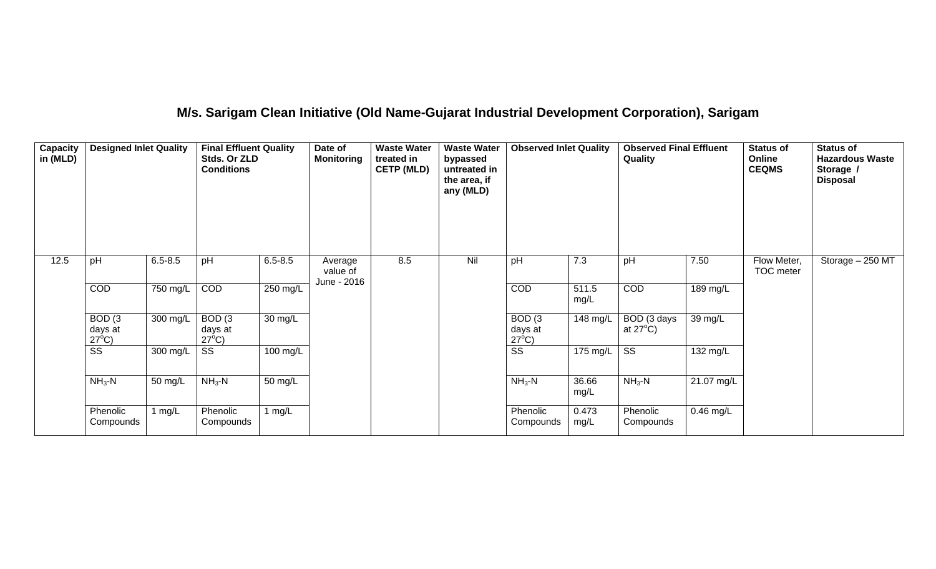## **M/s. Sarigam Clean Initiative (Old Name-Gujarat Industrial Development Corporation), Sarigam**

| <b>Capacity</b><br>in (MLD) | <b>Designed Inlet Quality</b>                   |             | <b>Final Effluent Quality</b><br>Stds. Or ZLD<br><b>Conditions</b> |             | Date of<br><b>Monitoring</b> | <b>Waste Water</b><br>treated in<br><b>CETP (MLD)</b> | <b>Waste Water</b><br>bypassed<br>untreated in<br>the area, if<br>any (MLD) | <b>Observed Inlet Quality</b>                   |                    | <b>Observed Final Effluent</b><br>Quality |            | <b>Status of</b><br>Online<br><b>CEQMS</b> | <b>Status of</b><br><b>Hazardous Waste</b><br>Storage /<br><b>Disposal</b> |
|-----------------------------|-------------------------------------------------|-------------|--------------------------------------------------------------------|-------------|------------------------------|-------------------------------------------------------|-----------------------------------------------------------------------------|-------------------------------------------------|--------------------|-------------------------------------------|------------|--------------------------------------------|----------------------------------------------------------------------------|
| 12.5                        | pH                                              | $6.5 - 8.5$ | pH                                                                 | $6.5 - 8.5$ | Average<br>value of          | 8.5                                                   | Nil                                                                         | pH                                              | 7.3                | pH                                        | 7.50       | Flow Meter,<br>TOC meter                   | Storage - 250 MT                                                           |
|                             | COD                                             | 750 mg/L    | COD                                                                | 250 mg/L    | June - 2016                  |                                                       |                                                                             | COD                                             | 511.5<br>mg/L      | COD                                       | 189 mg/L   |                                            |                                                                            |
|                             | BOD <sub>(3</sub><br>days at<br>$27^{\circ}$ C) | 300 mg/L    | BOD <sub>(3</sub><br>days at<br>$27^{\circ}$ C)                    | 30 mg/L     |                              |                                                       |                                                                             | BOD <sub>(3</sub><br>days at<br>$27^{\circ}$ C) | $148 \text{ mg/L}$ | BOD (3 days<br>at $27^{\circ}$ C)         | 39 mg/L    |                                            |                                                                            |
|                             | $\overline{\text{ss}}$                          | 300 mg/L    | SS                                                                 | 100 mg/L    |                              |                                                       |                                                                             | $\overline{\text{ss}}$                          | 175 mg/L           | $\overline{\text{ss}}$                    | 132 mg/L   |                                            |                                                                            |
|                             | $NH3-N$                                         | 50 mg/L     | $NH3-N$                                                            | 50 mg/L     |                              |                                                       |                                                                             | $NH3-N$                                         | 36.66<br>mg/L      | $NH3-N$                                   | 21.07 mg/L |                                            |                                                                            |
|                             | Phenolic<br>Compounds                           | 1 mg/L      | Phenolic<br>Compounds                                              | 1 $mg/L$    |                              |                                                       |                                                                             | Phenolic<br>Compounds                           | 0.473<br>mg/L      | Phenolic<br>Compounds                     | 0.46 mg/L  |                                            |                                                                            |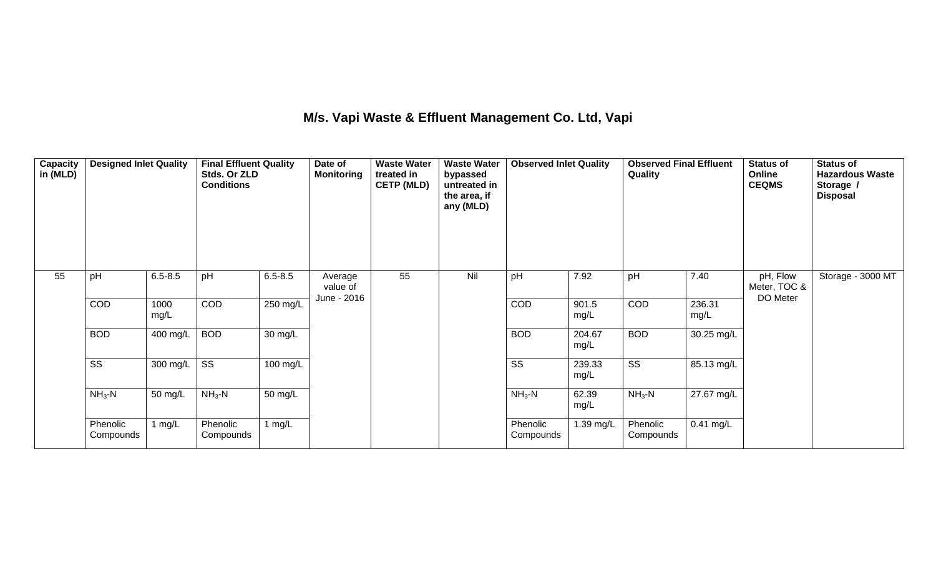## **M/s. Vapi Waste & Effluent Management Co. Ltd, Vapi**

| Capacity<br>in (MLD) | <b>Designed Inlet Quality</b> |                       | <b>Final Effluent Quality</b><br>Stds. Or ZLD<br><b>Conditions</b> |                      | Date of<br><b>Monitoring</b> | <b>Waste Water</b><br>treated in<br><b>CETP (MLD)</b> | <b>Waste Water</b><br>bypassed<br>untreated in<br>the area, if<br>any (MLD) | <b>Observed Inlet Quality</b> |                | <b>Observed Final Effluent</b><br>Quality |                | <b>Status of</b><br>Online<br><b>CEQMS</b> | <b>Status of</b><br><b>Hazardous Waste</b><br>Storage /<br><b>Disposal</b> |
|----------------------|-------------------------------|-----------------------|--------------------------------------------------------------------|----------------------|------------------------------|-------------------------------------------------------|-----------------------------------------------------------------------------|-------------------------------|----------------|-------------------------------------------|----------------|--------------------------------------------|----------------------------------------------------------------------------|
| 55                   | pH                            | $6.5 - 8.5$           | pH                                                                 | $6.5 - 8.5$          | Average<br>value of          | 55                                                    | Nil                                                                         | pH                            | 7.92           | pH                                        | 7.40           | pH, Flow<br>Meter, TOC &<br>DO Meter       | Storage - 3000 MT                                                          |
|                      | COD                           | 1000<br>mg/L          | COD                                                                | 250 mg/L             | June - 2016                  |                                                       |                                                                             | COD                           | 901.5<br>mg/L  | COD                                       | 236.31<br>mg/L |                                            |                                                                            |
|                      | <b>BOD</b>                    | $\overline{400}$ mg/L | <b>BOD</b>                                                         | $\overline{30}$ mg/L |                              |                                                       |                                                                             | <b>BOD</b>                    | 204.67<br>mg/L | <b>BOD</b>                                | 30.25 mg/L     |                                            |                                                                            |
|                      | $\overline{\text{ss}}$        | 300 mg/L              | $\overline{\text{SS}}$                                             | 100 mg/L             |                              |                                                       |                                                                             | $\overline{\text{ss}}$        | 239.33<br>mg/L | $\overline{\text{ss}}$                    | 85.13 mg/L     |                                            |                                                                            |
|                      | $NH3 - N$                     | 50 mg/L               | $NH3-N$                                                            | 50 mg/L              |                              |                                                       |                                                                             | $NH3-N$                       | 62.39<br>mg/L  | $NH3-N$                                   | 27.67 mg/L     |                                            |                                                                            |
|                      | Phenolic<br>Compounds         | 1 $mg/L$              | Phenolic<br>Compounds                                              | 1 $mg/L$             |                              |                                                       |                                                                             | Phenolic<br>Compounds         | 1.39 mg/L      | Phenolic<br>Compounds                     | $0.41$ mg/L    |                                            |                                                                            |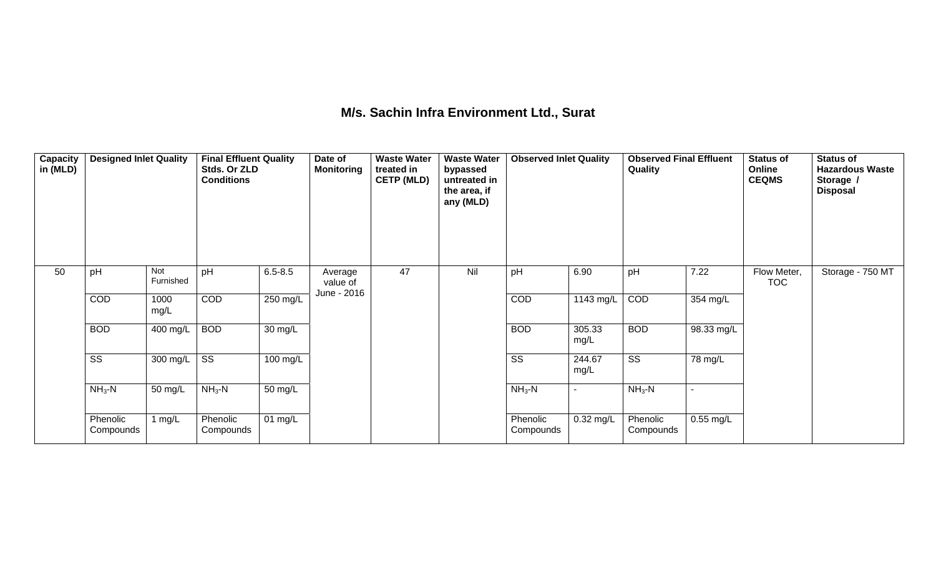## **M/s. Sachin Infra Environment Ltd., Surat**

| Capacity<br>in (MLD) | <b>Designed Inlet Quality</b> |                  | <b>Final Effluent Quality</b><br>Stds. Or ZLD<br><b>Conditions</b> |                              | Date of<br><b>Monitoring</b>       | <b>Waste Water</b><br>treated in<br><b>CETP (MLD)</b> | <b>Waste Water</b><br>bypassed<br>untreated in<br>the area, if<br>any (MLD) | <b>Observed Inlet Quality</b> |                | <b>Observed Final Effluent</b><br>Quality |             | <b>Status of</b><br>Online<br><b>CEQMS</b> | <b>Status of</b><br><b>Hazardous Waste</b><br>Storage /<br><b>Disposal</b> |
|----------------------|-------------------------------|------------------|--------------------------------------------------------------------|------------------------------|------------------------------------|-------------------------------------------------------|-----------------------------------------------------------------------------|-------------------------------|----------------|-------------------------------------------|-------------|--------------------------------------------|----------------------------------------------------------------------------|
| 50                   | pH                            | Not<br>Furnished | pH                                                                 | $6.5 - 8.5$                  | Average<br>value of<br>June - 2016 | 47                                                    | Nil                                                                         | pH                            | 6.90           | pH                                        | 7.22        | Flow Meter,<br><b>TOC</b>                  | Storage - 750 MT                                                           |
|                      | COD                           | 1000<br>mg/L     | COD                                                                | 250 mg/L                     |                                    |                                                       |                                                                             | COD                           | 1143 mg/L      | COD                                       | 354 mg/L    |                                            |                                                                            |
|                      | <b>BOD</b>                    | 400 mg/L         | <b>BOD</b>                                                         | 30 mg/L                      |                                    |                                                       |                                                                             | <b>BOD</b>                    | 305.33<br>mg/L | <b>BOD</b>                                | 98.33 mg/L  |                                            |                                                                            |
|                      | SS                            | 300 mg/L         | $\overline{\text{SS}}$                                             | 100 mg/L                     |                                    |                                                       |                                                                             | $\overline{\text{SS}}$        | 244.67<br>mg/L | $\overline{\text{ss}}$                    | 78 mg/L     |                                            |                                                                            |
|                      | $NH3-N$                       | 50 mg/L          | $NH3-N$                                                            | 50 mg/L                      |                                    |                                                       |                                                                             | $NH3-N$                       | $\blacksquare$ | $NH3-N$                                   | ٠           |                                            |                                                                            |
|                      | Phenolic<br>Compounds         | 1 $mg/L$         | Phenolic<br>Compounds                                              | $\overline{0}1 \text{ mg/L}$ |                                    |                                                       |                                                                             | Phenolic<br>Compounds         | $0.32$ mg/L    | Phenolic<br>Compounds                     | $0.55$ mg/L |                                            |                                                                            |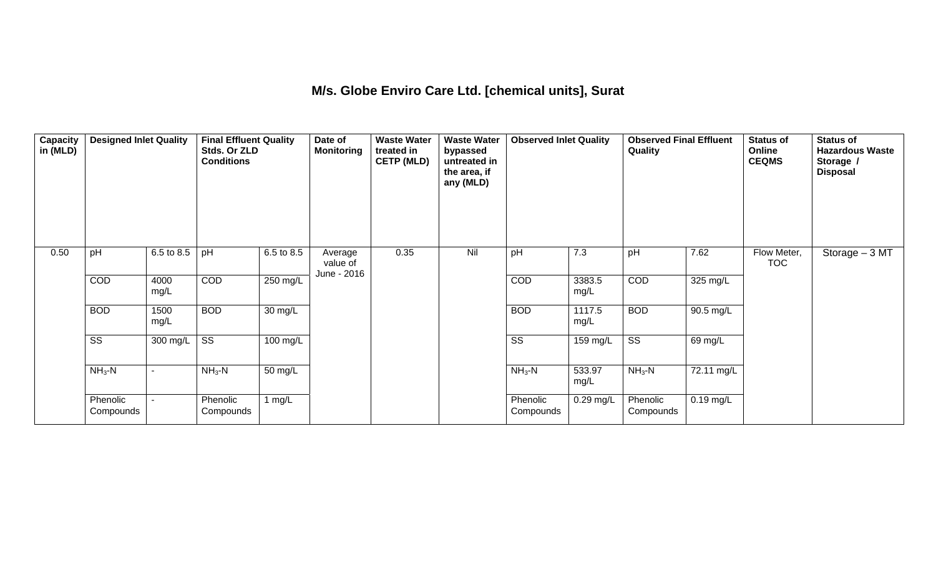## **M/s. Globe Enviro Care Ltd. [chemical units], Surat**

| Capacity<br>in (MLD) | <b>Designed Inlet Quality</b> |              | <b>Final Effluent Quality</b><br>Stds. Or ZLD<br><b>Conditions</b> |                    | Date of<br><b>Monitoring</b>       | <b>Waste Water</b><br>treated in<br><b>CETP (MLD)</b> | <b>Waste Water</b><br>bypassed<br>untreated in<br>the area, if<br>any (MLD) | <b>Observed Inlet Quality</b> |                | <b>Observed Final Effluent</b><br>Quality |             | <b>Status of</b><br>Online<br><b>CEQMS</b> | <b>Status of</b><br><b>Hazardous Waste</b><br>Storage /<br><b>Disposal</b> |
|----------------------|-------------------------------|--------------|--------------------------------------------------------------------|--------------------|------------------------------------|-------------------------------------------------------|-----------------------------------------------------------------------------|-------------------------------|----------------|-------------------------------------------|-------------|--------------------------------------------|----------------------------------------------------------------------------|
| 0.50                 | pH                            | 6.5 to 8.5   | pH                                                                 | 6.5 to 8.5         | Average<br>value of<br>June - 2016 | 0.35                                                  | Nil                                                                         | pH                            | 7.3            | pH                                        | 7.62        | Flow Meter,<br><b>TOC</b>                  | Storage $-3$ MT                                                            |
|                      | COD                           | 4000<br>mg/L | COD                                                                | 250 mg/L           |                                    |                                                       |                                                                             | COD                           | 3383.5<br>mg/L | COD                                       | 325 mg/L    |                                            |                                                                            |
|                      | <b>BOD</b>                    | 1500<br>mg/L | <b>BOD</b>                                                         | 30 mg/L            |                                    |                                                       |                                                                             | <b>BOD</b>                    | 1117.5<br>mg/L | <b>BOD</b>                                | 90.5 mg/L   |                                            |                                                                            |
|                      | $\overline{\text{SS}}$        | 300 mg/L     | $\overline{\text{SS}}$                                             | $100 \text{ mg/L}$ |                                    |                                                       |                                                                             | $\overline{\text{SS}}$        | 159 mg/L       | $\overline{\text{ss}}$                    | 69 mg/L     |                                            |                                                                            |
|                      | $NH3-N$                       |              | $NH3 - N$                                                          | 50 mg/L            |                                    |                                                       |                                                                             | $NH3-N$                       | 533.97<br>mg/L | $NH3$ -N                                  | 72.11 mg/L  |                                            |                                                                            |
|                      | Phenolic<br>Compounds         |              | Phenolic<br>Compounds                                              | 1 $mg/L$           |                                    |                                                       |                                                                             | Phenolic<br>Compounds         | 0.29 mg/L      | Phenolic<br>Compounds                     | $0.19$ mg/L |                                            |                                                                            |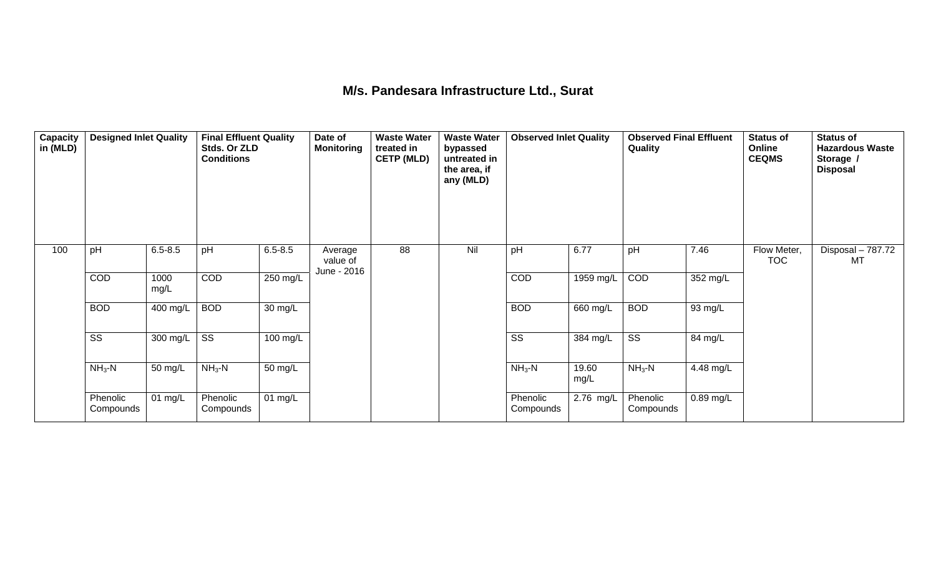## **M/s. Pandesara Infrastructure Ltd., Surat**

| Capacity<br>in (MLD) | <b>Designed Inlet Quality</b> |              | <b>Final Effluent Quality</b><br>Stds. Or ZLD<br><b>Conditions</b> |                    | Date of<br><b>Monitoring</b>       | <b>Waste Water</b><br>treated in<br><b>CETP (MLD)</b> | <b>Waste Water</b><br>bypassed<br>untreated in<br>the area, if<br>any (MLD) | <b>Observed Inlet Quality</b> |               | <b>Observed Final Effluent</b><br>Quality |             | <b>Status of</b><br>Online<br><b>CEQMS</b> | <b>Status of</b><br><b>Hazardous Waste</b><br>Storage /<br><b>Disposal</b> |
|----------------------|-------------------------------|--------------|--------------------------------------------------------------------|--------------------|------------------------------------|-------------------------------------------------------|-----------------------------------------------------------------------------|-------------------------------|---------------|-------------------------------------------|-------------|--------------------------------------------|----------------------------------------------------------------------------|
| 100                  | pH                            | $6.5 - 8.5$  | pH                                                                 | $6.5 - 8.5$        | Average<br>value of<br>June - 2016 | 88                                                    | Nil                                                                         | pH                            | 6.77          | pH                                        | 7.46        | Flow Meter,<br><b>TOC</b>                  | Disposal - 787.72<br>MT                                                    |
|                      | COD                           | 1000<br>mg/L | COD                                                                | $250 \text{ mg/L}$ |                                    |                                                       |                                                                             | COD                           | 1959 mg/L     | COD                                       | 352 mg/L    |                                            |                                                                            |
|                      | <b>BOD</b>                    | 400 mg/L     | <b>BOD</b>                                                         | 30 mg/L            |                                    |                                                       |                                                                             | <b>BOD</b>                    | 660 mg/L      | <b>BOD</b>                                | 93 mg/L     |                                            |                                                                            |
|                      | $\overline{\text{SS}}$        | 300 mg/L     | $\overline{\text{SS}}$                                             | 100 mg/L           |                                    |                                                       |                                                                             | $\overline{\text{ss}}$        | 384 mg/L      | $\overline{\text{ss}}$                    | 84 mg/L     |                                            |                                                                            |
|                      | $NH3-N$                       | 50 mg/L      | $NH3-N$                                                            | 50 mg/L            |                                    |                                                       |                                                                             | $NH3-N$                       | 19.60<br>mg/L | $NH3-N$                                   | 4.48 mg/L   |                                            |                                                                            |
|                      | Phenolic<br>Compounds         | 01 mg/L      | Phenolic<br>Compounds                                              | 01 $mg/L$          |                                    |                                                       |                                                                             | Phenolic<br>Compounds         | 2.76 mg/L     | Phenolic<br>Compounds                     | $0.89$ mg/L |                                            |                                                                            |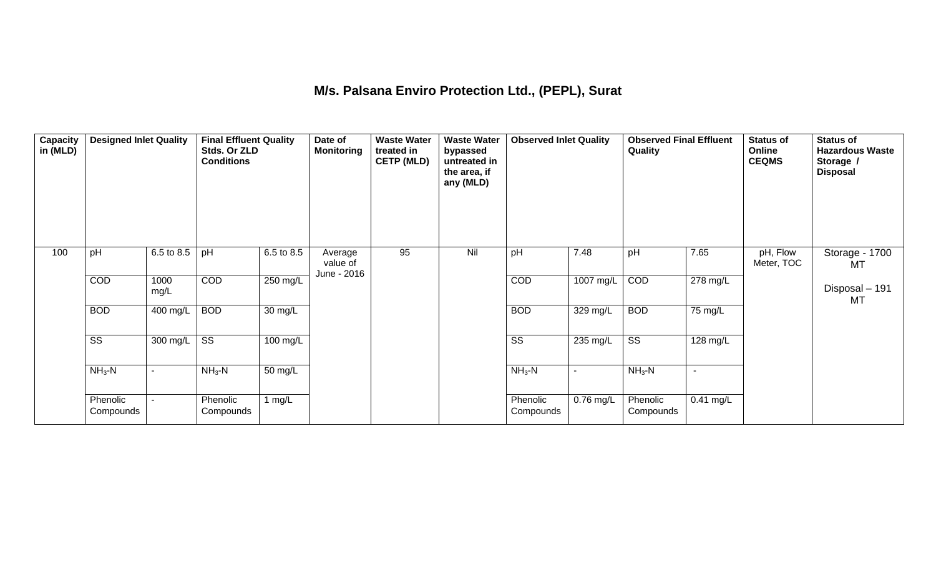# **M/s. Palsana Enviro Protection Ltd., (PEPL), Surat**

| Capacity<br>in (MLD) | <b>Designed Inlet Quality</b> |              | <b>Final Effluent Quality</b><br>Stds. Or ZLD<br><b>Conditions</b> |                      | Date of<br><b>Monitoring</b>       | <b>Waste Water</b><br>treated in<br><b>CETP (MLD)</b> | <b>Waste Water</b><br>bypassed<br>untreated in<br>the area, if<br>any (MLD) | <b>Observed Inlet Quality</b> |                | <b>Observed Final Effluent</b><br>Quality |                | <b>Status of</b><br>Online<br><b>CEQMS</b> | <b>Status of</b><br><b>Hazardous Waste</b><br>Storage /<br><b>Disposal</b> |
|----------------------|-------------------------------|--------------|--------------------------------------------------------------------|----------------------|------------------------------------|-------------------------------------------------------|-----------------------------------------------------------------------------|-------------------------------|----------------|-------------------------------------------|----------------|--------------------------------------------|----------------------------------------------------------------------------|
| 100                  | pH                            | 6.5 to 8.5   | pH                                                                 | 6.5 to 8.5           | Average<br>value of<br>June - 2016 | 95                                                    | Nil                                                                         | pH                            | 7.48           | pH                                        | 7.65           | pH, Flow<br>Meter, TOC                     | Storage - 1700<br>MT                                                       |
|                      | COD                           | 1000<br>mg/L | COD                                                                | $250$ mg/L           |                                    |                                                       |                                                                             | COD                           | 1007 mg/L      | COD                                       | 278 mg/L       |                                            | Disposal - 191<br>MT                                                       |
|                      | <b>BOD</b>                    | 400 mg/L     | <b>BOD</b>                                                         | $\overline{30}$ mg/L |                                    |                                                       |                                                                             | <b>BOD</b>                    | 329 mg/L       | <b>BOD</b>                                | 75 mg/L        |                                            |                                                                            |
|                      | $\overline{\text{ss}}$        | 300 mg/L     | $\overline{\text{SS}}$                                             | 100 mg/L             |                                    |                                                       |                                                                             | $\overline{\text{ss}}$        | 235 mg/L       | $\overline{\text{ss}}$                    | 128 mg/L       |                                            |                                                                            |
|                      | $NH3-N$                       |              | $NH3$ -N                                                           | 50 mg/L              |                                    |                                                       |                                                                             | $NH3-N$                       | $\blacksquare$ | $NH3-N$                                   | $\overline{a}$ |                                            |                                                                            |
|                      | Phenolic<br>Compounds         |              | Phenolic<br>Compounds                                              | 1 $mg/L$             |                                    |                                                       |                                                                             | Phenolic<br>Compounds         | 0.76 mg/L      | Phenolic<br>Compounds                     | $0.41$ mg/L    |                                            |                                                                            |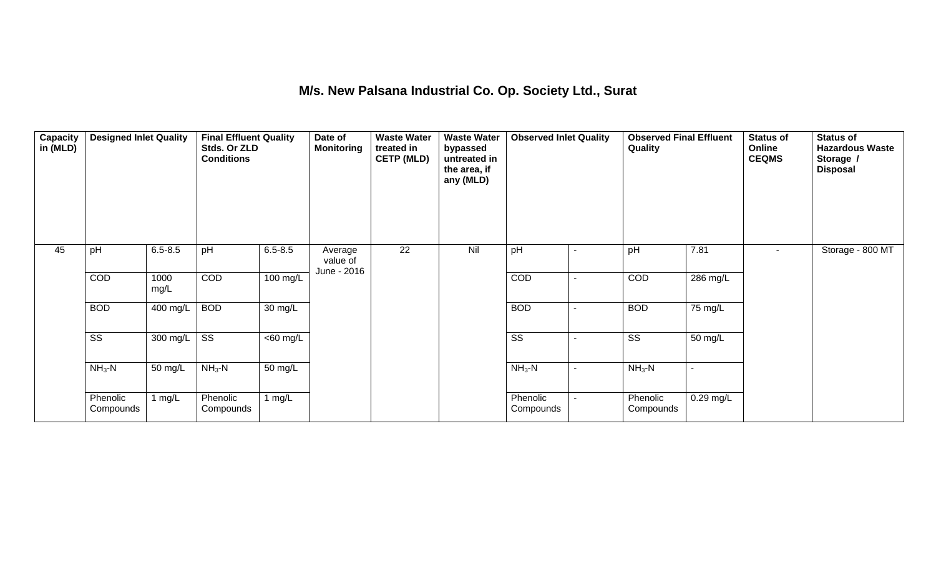## **M/s. New Palsana Industrial Co. Op. Society Ltd., Surat**

| Capacity<br>in (MLD) | <b>Designed Inlet Quality</b> |              | <b>Final Effluent Quality</b><br>Stds. Or ZLD<br><b>Conditions</b> |                   | Date of<br><b>Monitoring</b>       | <b>Waste Water</b><br>treated in<br><b>CETP (MLD)</b> | <b>Waste Water</b><br>bypassed<br>untreated in<br>the area, if<br>any (MLD) | <b>Observed Inlet Quality</b> |   | <b>Observed Final Effluent</b><br>Quality |                      | <b>Status of</b><br>Online<br><b>CEQMS</b> | <b>Status of</b><br><b>Hazardous Waste</b><br>Storage /<br><b>Disposal</b> |
|----------------------|-------------------------------|--------------|--------------------------------------------------------------------|-------------------|------------------------------------|-------------------------------------------------------|-----------------------------------------------------------------------------|-------------------------------|---|-------------------------------------------|----------------------|--------------------------------------------|----------------------------------------------------------------------------|
| 45                   | pH                            | $6.5 - 8.5$  | pH                                                                 | $6.5 - 8.5$       | Average<br>value of<br>June - 2016 | 22                                                    | Nil                                                                         | pH                            |   | pH                                        | 7.81                 | $\sim$                                     | Storage - 800 MT                                                           |
|                      | COD                           | 1000<br>mg/L | COD                                                                | $100$ mg/L        |                                    |                                                       |                                                                             | COD                           | ۰ | COD                                       | 286 mg/L             |                                            |                                                                            |
|                      | <b>BOD</b>                    | 400 mg/L     | <b>BOD</b>                                                         | $30 \text{ mg/L}$ |                                    |                                                       |                                                                             | <b>BOD</b>                    | ۰ | <b>BOD</b>                                | $\overline{75}$ mg/L |                                            |                                                                            |
|                      | $\overline{\text{SS}}$        | 300 mg/L     | $\overline{\text{ss}}$                                             | $<$ 60 mg/L       |                                    |                                                       |                                                                             | $\overline{\text{SS}}$        |   | $\overline{\text{ss}}$                    | 50 mg/L              |                                            |                                                                            |
|                      | $NH3-N$                       | 50 mg/L      | $NH3 - N$                                                          | 50 mg/L           |                                    |                                                       |                                                                             | $NH3-N$                       | ۰ | $NH3$ -N                                  | $\blacksquare$       |                                            |                                                                            |
|                      | Phenolic<br>Compounds         | 1 $mg/L$     | Phenolic<br>Compounds                                              | 1 $mg/L$          |                                    |                                                       |                                                                             | Phenolic<br>Compounds         |   | Phenolic<br>Compounds                     | 0.29 mg/L            |                                            |                                                                            |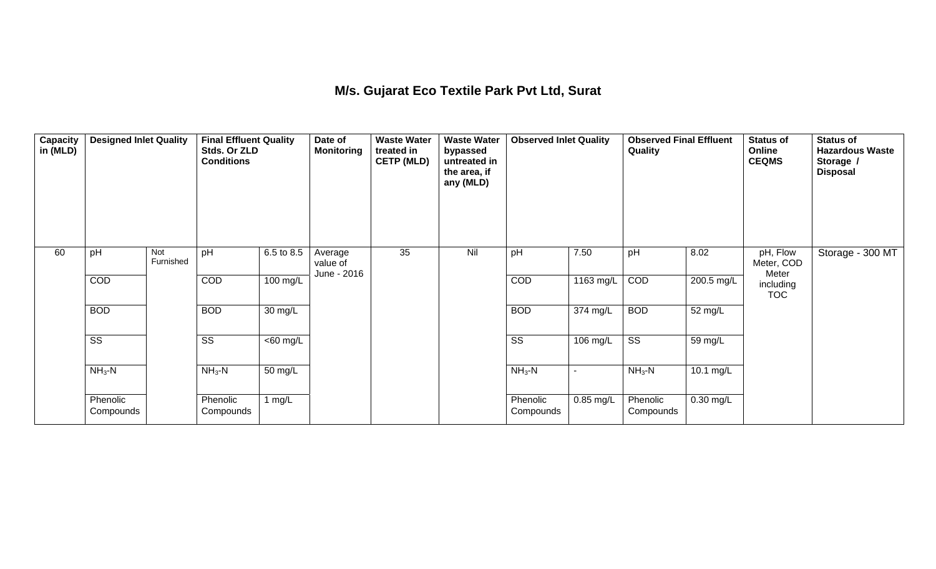## **M/s. Gujarat Eco Textile Park Pvt Ltd, Surat**

| Capacity<br>in (MLD) | <b>Designed Inlet Quality</b> |                  | <b>Final Effluent Quality</b><br>Stds. Or ZLD<br><b>Conditions</b> |             | Date of<br><b>Monitoring</b>       | <b>Waste Water</b><br>treated in<br><b>CETP (MLD)</b> | <b>Waste Water</b><br>bypassed<br>untreated in<br>the area, if<br>any (MLD) | <b>Observed Inlet Quality</b> |             | <b>Observed Final Effluent</b><br>Quality |             | <b>Status of</b><br>Online<br><b>CEQMS</b> | <b>Status of</b><br><b>Hazardous Waste</b><br>Storage /<br><b>Disposal</b> |
|----------------------|-------------------------------|------------------|--------------------------------------------------------------------|-------------|------------------------------------|-------------------------------------------------------|-----------------------------------------------------------------------------|-------------------------------|-------------|-------------------------------------------|-------------|--------------------------------------------|----------------------------------------------------------------------------|
| 60                   | pH                            | Not<br>Furnished | pH                                                                 | 6.5 to 8.5  | Average<br>value of<br>June - 2016 | 35                                                    | Nil                                                                         | pH                            | 7.50        | pH                                        | 8.02        | pH, Flow<br>Meter, COD<br>Meter            | Storage - 300 MT                                                           |
|                      | COD                           |                  | COD                                                                | 100 mg/L    |                                    |                                                       |                                                                             | COD                           | 1163 mg/L   | COD                                       | 200.5 mg/L  | including<br><b>TOC</b>                    |                                                                            |
|                      | <b>BOD</b>                    |                  | <b>BOD</b>                                                         | 30 mg/L     |                                    |                                                       |                                                                             | <b>BOD</b>                    | 374 mg/L    | <b>BOD</b>                                | 52 mg/L     |                                            |                                                                            |
|                      | $\overline{\text{SS}}$        |                  | $\overline{\text{SS}}$                                             | $<$ 60 mg/L |                                    |                                                       |                                                                             | $\overline{\text{SS}}$        | 106 mg/L    | $\overline{\text{ss}}$                    | 59 mg/L     |                                            |                                                                            |
|                      | $NH3$ -N                      |                  | $NH3-N$                                                            | 50 mg/L     |                                    |                                                       |                                                                             | $NH3-N$                       | ۰           | $NH3$ -N                                  | 10.1 mg/L   |                                            |                                                                            |
|                      | Phenolic<br>Compounds         |                  | Phenolic<br>Compounds                                              | 1 $mg/L$    |                                    |                                                       |                                                                             | Phenolic<br>Compounds         | $0.85$ mg/L | Phenolic<br>Compounds                     | $0.30$ mg/L |                                            |                                                                            |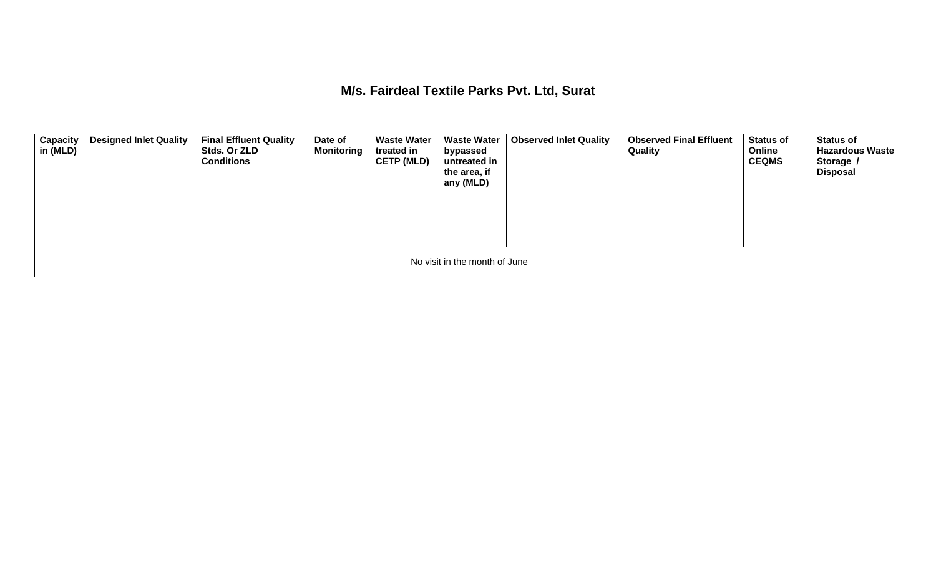**M/s. Fairdeal Textile Parks Pvt. Ltd, Surat** 

| <b>Capacity</b><br>in (MLD) | <b>Designed Inlet Quality</b> | <b>Final Effluent Quality</b><br>Stds. Or ZLD<br><b>Conditions</b> | Date of<br><b>Monitoring</b> | <b>Waste Water</b><br>treated in<br><b>CETP (MLD)</b> | <b>Waste Water</b><br>bypassed<br>untreated in<br>the area, if<br>any (MLD) | <b>Observed Inlet Quality</b> | <b>Observed Final Effluent</b><br>Quality | <b>Status of</b><br>Online<br><b>CEQMS</b> | <b>Status of</b><br><b>Hazardous Waste</b><br>Storage /<br><b>Disposal</b> |  |  |  |  |
|-----------------------------|-------------------------------|--------------------------------------------------------------------|------------------------------|-------------------------------------------------------|-----------------------------------------------------------------------------|-------------------------------|-------------------------------------------|--------------------------------------------|----------------------------------------------------------------------------|--|--|--|--|
|                             | No visit in the month of June |                                                                    |                              |                                                       |                                                                             |                               |                                           |                                            |                                                                            |  |  |  |  |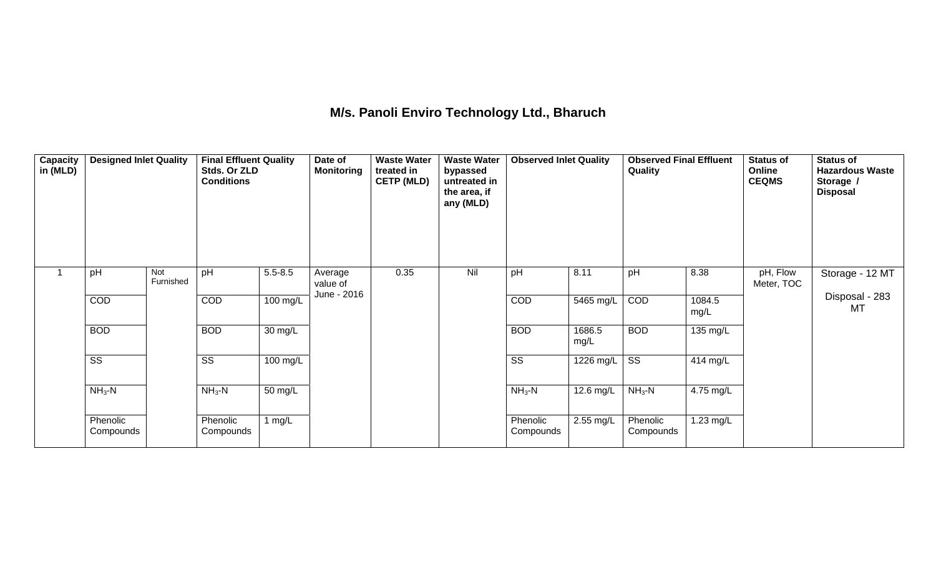## **M/s. Panoli Enviro Technology Ltd., Bharuch**

| Capacity<br>in (MLD) | <b>Designed Inlet Quality</b> |                  | <b>Final Effluent Quality</b><br>Stds. Or ZLD<br><b>Conditions</b> |             | Date of<br><b>Monitoring</b>       | <b>Waste Water</b><br>treated in<br><b>CETP (MLD)</b> | <b>Waste Water</b><br>bypassed<br>untreated in<br>the area, if<br>any (MLD) | <b>Observed Inlet Quality</b> |                        | <b>Observed Final Effluent</b><br>Quality |                | <b>Status of</b><br>Online<br><b>CEQMS</b> | <b>Status of</b><br><b>Hazardous Waste</b><br>Storage /<br><b>Disposal</b> |
|----------------------|-------------------------------|------------------|--------------------------------------------------------------------|-------------|------------------------------------|-------------------------------------------------------|-----------------------------------------------------------------------------|-------------------------------|------------------------|-------------------------------------------|----------------|--------------------------------------------|----------------------------------------------------------------------------|
|                      | pH                            | Not<br>Furnished | pH                                                                 | $5.5 - 8.5$ | Average<br>value of<br>June - 2016 | 0.35                                                  | Nil                                                                         | pH                            | 8.11                   | pH                                        | 8.38           | pH, Flow<br>Meter, TOC                     | Storage - 12 MT                                                            |
|                      | COD                           |                  | <b>COD</b>                                                         | 100 mg/L    |                                    |                                                       |                                                                             | COD                           | $\overline{5465}$ mg/L | COD                                       | 1084.5<br>mg/L |                                            | Disposal - 283<br><b>MT</b>                                                |
|                      | <b>BOD</b>                    |                  | <b>BOD</b>                                                         | 30 mg/L     |                                    |                                                       |                                                                             | <b>BOD</b>                    | 1686.5<br>mg/L         | <b>BOD</b>                                | 135 mg/L       |                                            |                                                                            |
|                      | $\overline{\text{SS}}$        |                  | $\overline{\text{SS}}$                                             | 100 mg/L    |                                    |                                                       |                                                                             | $\overline{\text{SS}}$        | $\overline{1226}$ mg/L | $\overline{\text{ss}}$                    | 414 mg/L       |                                            |                                                                            |
|                      | $NH3-N$                       |                  | $NH3-N$                                                            | 50 mg/L     |                                    |                                                       |                                                                             | $NH3-N$                       | $12.6$ mg/L            | $NH3$ -N                                  | 4.75 mg/L      |                                            |                                                                            |
|                      | Phenolic<br>Compounds         |                  | Phenolic<br>Compounds                                              | 1 $mg/L$    |                                    |                                                       |                                                                             | Phenolic<br>Compounds         | 2.55 mg/L              | Phenolic<br>Compounds                     | 1.23 mg/L      |                                            |                                                                            |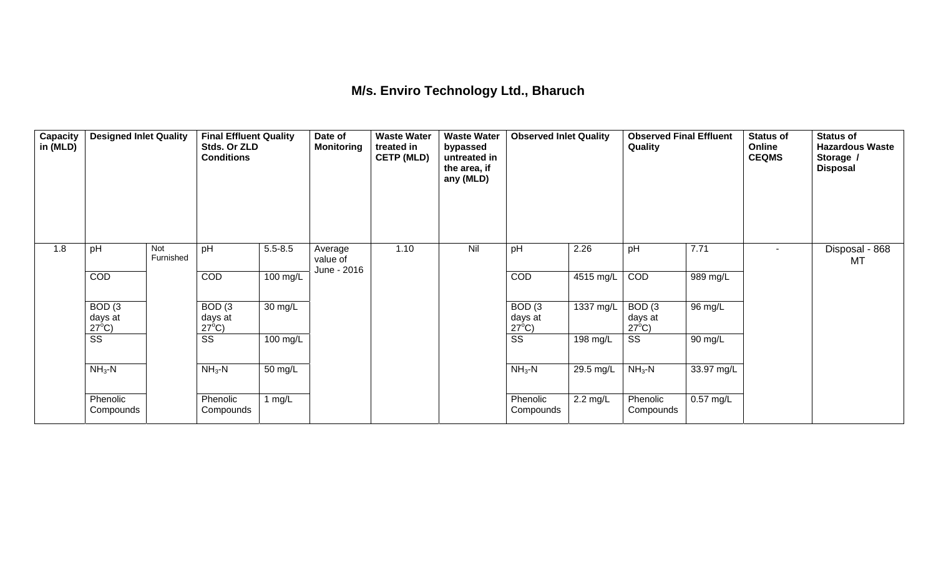## **M/s. Enviro Technology Ltd., Bharuch**

| Capacity<br>in (MLD) | <b>Designed Inlet Quality</b>        |                         | <b>Final Effluent Quality</b><br>Stds. Or ZLD<br><b>Conditions</b> |             | Date of<br><b>Monitoring</b>       | <b>Waste Water</b><br>treated in<br><b>CETP (MLD)</b> | <b>Waste Water</b><br>bypassed<br>untreated in<br>the area, if<br>any (MLD) | <b>Observed Inlet Quality</b>        |                    | <b>Observed Final Effluent</b><br>Quality |                        | Status of<br>Online<br><b>CEQMS</b> | <b>Status of</b><br><b>Hazardous Waste</b><br>Storage /<br><b>Disposal</b> |
|----------------------|--------------------------------------|-------------------------|--------------------------------------------------------------------|-------------|------------------------------------|-------------------------------------------------------|-----------------------------------------------------------------------------|--------------------------------------|--------------------|-------------------------------------------|------------------------|-------------------------------------|----------------------------------------------------------------------------|
| 1.8                  | pH                                   | <b>Not</b><br>Furnished | pH                                                                 | $5.5 - 8.5$ | Average<br>value of<br>June - 2016 | 1.10                                                  | Nil                                                                         | pH                                   | 2.26               | pH                                        | 7.71                   | $\overline{\phantom{a}}$            | Disposal - 868<br>MT                                                       |
|                      | <b>COD</b>                           |                         | COD                                                                | 100 mg/L    |                                    |                                                       |                                                                             | COD                                  | 4515 mg/L          | <b>COD</b>                                | 989 mg/L               |                                     |                                                                            |
|                      | BOD(3)<br>days at<br>$27^{\circ}$ C) |                         | BOD(3)<br>days at<br>$27^{\circ}$ C)                               | 30 mg/L     |                                    |                                                       |                                                                             | BOD(3)<br>days at<br>$27^{\circ}$ C) | 1337 mg/L          | BOD(3)<br>days at<br>$27^{\circ}$ C)      | 96 mg/L                |                                     |                                                                            |
|                      | $\overline{\text{ss}}$               |                         | $\overline{\text{ss}}$                                             | 100 mg/L    |                                    |                                                       |                                                                             | $\overline{\text{ss}}$               | 198 mg/L           | $\overline{\text{ss}}$                    | 90 mg/L                |                                     |                                                                            |
|                      | $NH3-N$                              |                         | $NH3-N$                                                            | 50 mg/L     |                                    |                                                       |                                                                             | $NH3-N$                              | 29.5 mg/L          | $NH3$ -N                                  | 33.97 mg/L             |                                     |                                                                            |
|                      | Phenolic<br>Compounds                |                         | Phenolic<br>Compounds                                              | 1 mg/ $L$   |                                    |                                                       |                                                                             | Phenolic<br>Compounds                | $2.2 \text{ mg/L}$ | Phenolic<br>Compounds                     | $\overline{0.57}$ mg/L |                                     |                                                                            |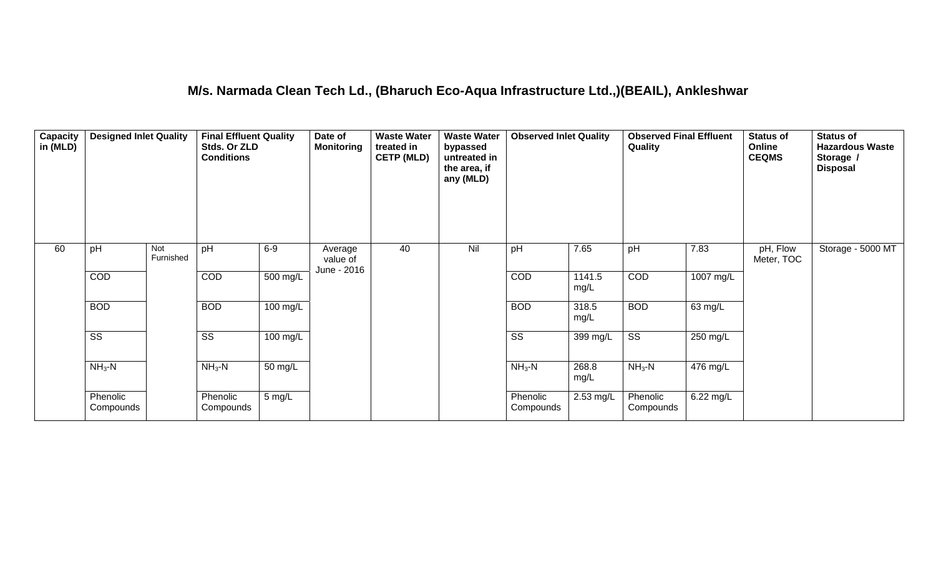#### **M/s. Narmada Clean Tech Ld., (Bharuch Eco-Aqua Infrastructure Ltd.,)(BEAIL), Ankleshwar**

| Capacity<br>in (MLD) | <b>Designed Inlet Quality</b> |                  | <b>Final Effluent Quality</b><br>Stds. Or ZLD<br><b>Conditions</b> |                      | Date of<br><b>Monitoring</b>       | <b>Waste Water</b><br>treated in<br><b>CETP (MLD)</b> | <b>Waste Water</b><br>bypassed<br>untreated in<br>the area, if<br>any (MLD) | <b>Observed Inlet Quality</b> |                | <b>Observed Final Effluent</b><br>Quality |             | <b>Status of</b><br>Online<br><b>CEQMS</b> | <b>Status of</b><br><b>Hazardous Waste</b><br>Storage /<br><b>Disposal</b> |
|----------------------|-------------------------------|------------------|--------------------------------------------------------------------|----------------------|------------------------------------|-------------------------------------------------------|-----------------------------------------------------------------------------|-------------------------------|----------------|-------------------------------------------|-------------|--------------------------------------------|----------------------------------------------------------------------------|
| 60                   | pH                            | Not<br>Furnished | pH                                                                 | $6-9$                | Average<br>value of<br>June - 2016 | 40                                                    | Nil                                                                         | pH                            | 7.65           | pH                                        | 7.83        | pH, Flow<br>Meter, TOC                     | Storage - 5000 MT                                                          |
|                      | <b>COD</b>                    |                  | COD                                                                | 500 mg/L             |                                    |                                                       |                                                                             | COD                           | 1141.5<br>mg/L | <b>COD</b>                                | 1007 mg/L   |                                            |                                                                            |
|                      | <b>BOD</b>                    |                  | <b>BOD</b>                                                         | $100 \text{ mg/L}$   |                                    |                                                       |                                                                             | <b>BOD</b>                    | 318.5<br>mg/L  | <b>BOD</b>                                | 63 mg/L     |                                            |                                                                            |
|                      | $\overline{\text{ss}}$        |                  | $\overline{\text{SS}}$                                             | 100 mg/L             |                                    |                                                       |                                                                             | $\overline{\text{ss}}$        | 399 mg/L       | $\overline{\text{ss}}$                    | 250 mg/L    |                                            |                                                                            |
|                      | $NH3$ -N                      |                  | $NH3-N$                                                            | $\overline{50}$ mg/L |                                    |                                                       |                                                                             | $NH3-N$                       | 268.8<br>mg/L  | $NH3-N$                                   | $476$ mg/L  |                                            |                                                                            |
|                      | Phenolic<br>Compounds         |                  | Phenolic<br>Compounds                                              | 5 mg/L               |                                    |                                                       |                                                                             | Phenolic<br>Compounds         | 2.53 mg/L      | Phenolic<br>Compounds                     | $6.22$ mg/L |                                            |                                                                            |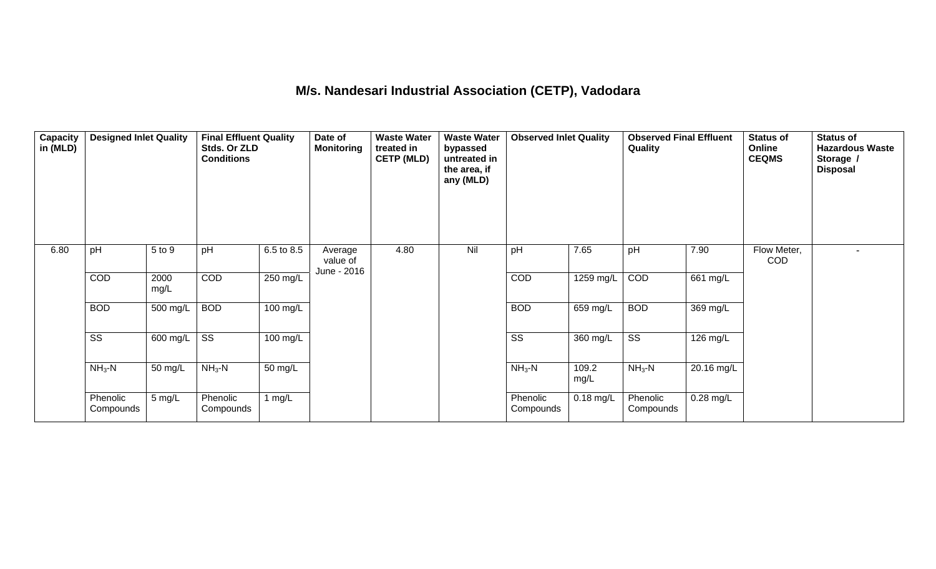## **M/s. Nandesari Industrial Association (CETP), Vadodara**

| <b>Capacity</b><br>in (MLD) | <b>Designed Inlet Quality</b> |              | <b>Final Effluent Quality</b><br>Stds. Or ZLD<br><b>Conditions</b> |            | Date of<br><b>Monitoring</b>       | <b>Waste Water</b><br>treated in<br><b>CETP (MLD)</b> | <b>Waste Water</b><br>bypassed<br>untreated in<br>the area, if<br>any (MLD) | <b>Observed Inlet Quality</b> |               | <b>Observed Final Effluent</b><br><b>Quality</b> |             | <b>Status of</b><br>Online<br><b>CEQMS</b> | <b>Status of</b><br><b>Hazardous Waste</b><br>Storage /<br><b>Disposal</b> |
|-----------------------------|-------------------------------|--------------|--------------------------------------------------------------------|------------|------------------------------------|-------------------------------------------------------|-----------------------------------------------------------------------------|-------------------------------|---------------|--------------------------------------------------|-------------|--------------------------------------------|----------------------------------------------------------------------------|
| 6.80                        | pH                            | 5 to 9       | pH                                                                 | 6.5 to 8.5 | Average<br>value of<br>June - 2016 | 4.80                                                  | Nil                                                                         | pH                            | 7.65          | pH                                               | 7.90        | Flow Meter,<br>COD                         | $\overline{\phantom{a}}$                                                   |
|                             | COD                           | 2000<br>mg/L | COD                                                                | 250 mg/L   |                                    |                                                       |                                                                             | COD                           | $1259$ mg/L   | COD                                              | $661$ mg/L  |                                            |                                                                            |
|                             | <b>BOD</b>                    | 500 mg/L     | <b>BOD</b>                                                         | 100 mg/L   |                                    |                                                       |                                                                             | <b>BOD</b>                    | 659 mg/L      | <b>BOD</b>                                       | 369 mg/L    |                                            |                                                                            |
|                             | SS                            | 600 mg/L     | SS                                                                 | 100 mg/L   |                                    |                                                       |                                                                             | SS                            | 360 mg/L      | $\overline{\text{ss}}$                           | 126 mg/L    |                                            |                                                                            |
|                             | $NH3-N$                       | 50 mg/L      | $NH3-N$                                                            | 50 mg/L    |                                    |                                                       |                                                                             | $NH3-N$                       | 109.2<br>mg/L | $NH3$ -N                                         | 20.16 mg/L  |                                            |                                                                            |
|                             | Phenolic<br>Compounds         | $5$ mg/L     | Phenolic<br>Compounds                                              | 1 mg/L     |                                    |                                                       |                                                                             | Phenolic<br>Compounds         | $0.18$ mg/L   | Phenolic<br>Compounds                            | $0.28$ mg/L |                                            |                                                                            |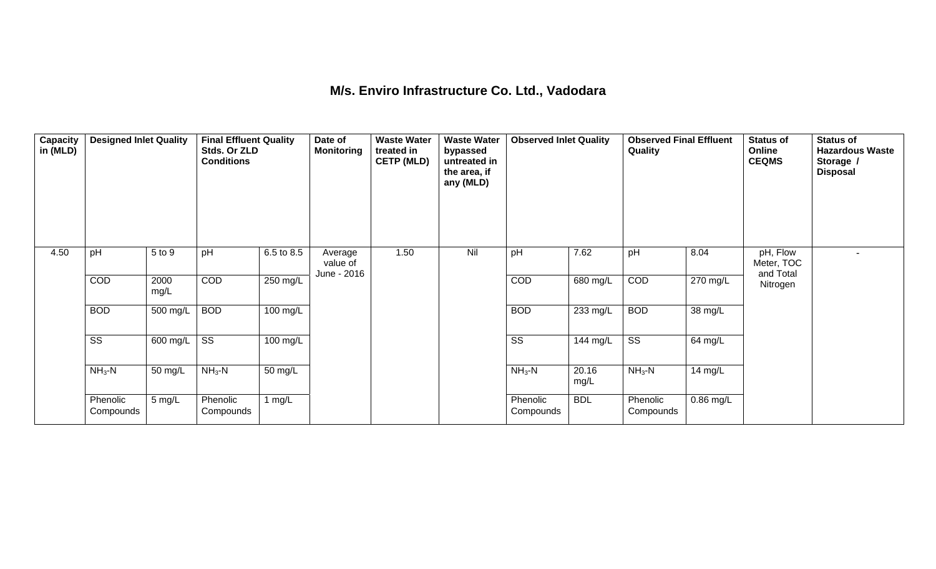## **M/s. Enviro Infrastructure Co. Ltd., Vadodara**

| Capacity<br>in (MLD) | <b>Designed Inlet Quality</b> |                  | <b>Final Effluent Quality</b><br>Stds. Or ZLD<br><b>Conditions</b> |            | Date of<br><b>Monitoring</b>       | <b>Waste Water</b><br>treated in<br><b>CETP (MLD)</b> | <b>Waste Water</b><br>bypassed<br>untreated in<br>the area, if<br>any (MLD) | <b>Observed Inlet Quality</b> |               | <b>Observed Final Effluent</b><br>Quality |             | <b>Status of</b><br>Online<br><b>CEQMS</b> | <b>Status of</b><br><b>Hazardous Waste</b><br>Storage /<br><b>Disposal</b> |
|----------------------|-------------------------------|------------------|--------------------------------------------------------------------|------------|------------------------------------|-------------------------------------------------------|-----------------------------------------------------------------------------|-------------------------------|---------------|-------------------------------------------|-------------|--------------------------------------------|----------------------------------------------------------------------------|
| 4.50                 | pH                            | 5 to 9           | pH                                                                 | 6.5 to 8.5 | Average<br>value of<br>June - 2016 | 1.50                                                  | Nil                                                                         | pH                            | 7.62          | pH                                        | 8.04        | pH, Flow<br>Meter, TOC<br>and Total        |                                                                            |
|                      | COD                           | 2000<br>mg/L     | COD                                                                | 250 mg/L   |                                    |                                                       |                                                                             | COD                           | 680 mg/L      | COD                                       | 270 mg/L    | Nitrogen                                   |                                                                            |
|                      | <b>BOD</b>                    | 500 mg/L         | <b>BOD</b>                                                         | 100 mg/L   |                                    |                                                       |                                                                             | <b>BOD</b>                    | 233 mg/L      | <b>BOD</b>                                | 38 mg/L     |                                            |                                                                            |
|                      | $\overline{\text{SS}}$        | 600 mg/L $\vert$ | $\overline{\text{ss}}$                                             | 100 mg/L   |                                    |                                                       |                                                                             | SS                            | 144 mg/L      | $\overline{\text{ss}}$                    | 64 mg/L     |                                            |                                                                            |
|                      | $NH3-N$                       | 50 mg/L          | $NH3$ -N                                                           | 50 mg/L    |                                    |                                                       |                                                                             | $NH3-N$                       | 20.16<br>mg/L | $NH3$ -N                                  | 14 mg/L     |                                            |                                                                            |
|                      | Phenolic<br>Compounds         | 5 mg/L           | Phenolic<br>Compounds                                              | 1 $mg/L$   |                                    |                                                       |                                                                             | Phenolic<br>Compounds         | <b>BDL</b>    | Phenolic<br>Compounds                     | $0.86$ mg/L |                                            |                                                                            |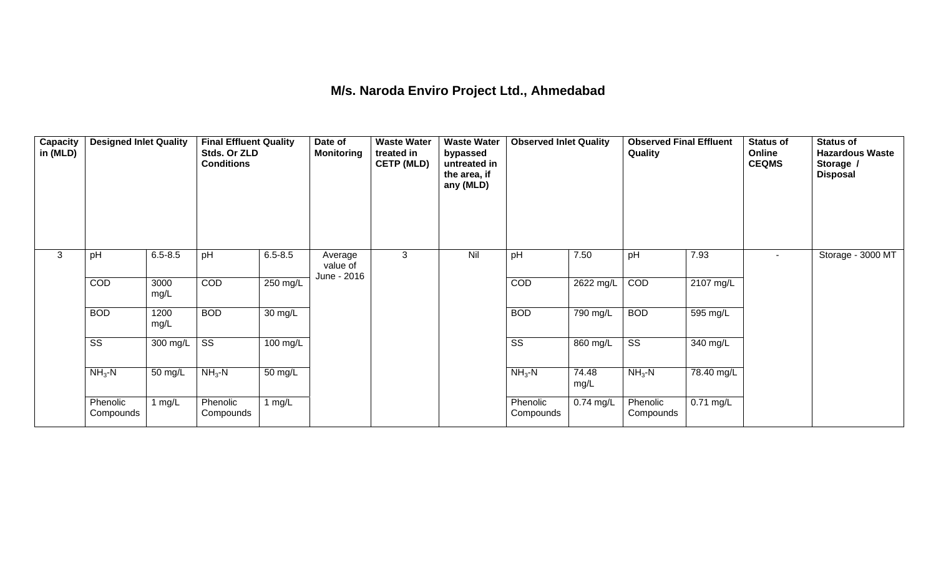## **M/s. Naroda Enviro Project Ltd., Ahmedabad**

| Capacity<br>in (MLD) | <b>Designed Inlet Quality</b> |              | <b>Final Effluent Quality</b><br>Stds. Or ZLD<br><b>Conditions</b> |                   | Date of<br><b>Monitoring</b>       | <b>Waste Water</b><br>treated in<br><b>CETP (MLD)</b> | <b>Waste Water</b><br>bypassed<br>untreated in<br>the area, if<br>any (MLD) | <b>Observed Inlet Quality</b> |                       | <b>Observed Final Effluent</b><br>Quality |             | <b>Status of</b><br>Online<br><b>CEQMS</b> | <b>Status of</b><br><b>Hazardous Waste</b><br>Storage /<br><b>Disposal</b> |
|----------------------|-------------------------------|--------------|--------------------------------------------------------------------|-------------------|------------------------------------|-------------------------------------------------------|-----------------------------------------------------------------------------|-------------------------------|-----------------------|-------------------------------------------|-------------|--------------------------------------------|----------------------------------------------------------------------------|
| 3                    | pH                            | $6.5 - 8.5$  | pH                                                                 | $6.5 - 8.5$       | Average<br>value of<br>June - 2016 | 3                                                     | Nil                                                                         | pH                            | 7.50                  | pH                                        | 7.93        | $\sim$                                     | Storage - 3000 MT                                                          |
|                      | COD                           | 3000<br>mg/L | COD                                                                | 250 mg/L          |                                    |                                                       |                                                                             | COD                           | 2622 mg/L             | COD                                       | 2107 mg/L   |                                            |                                                                            |
|                      | <b>BOD</b>                    | 1200<br>mg/L | <b>BOD</b>                                                         | $30 \text{ mg/L}$ |                                    |                                                       |                                                                             | <b>BOD</b>                    | $\overline{790}$ mg/L | <b>BOD</b>                                | 595 mg/L    |                                            |                                                                            |
|                      | $\overline{\text{ss}}$        | 300 mg/L     | $\overline{\text{ss}}$                                             | 100 mg/L          |                                    |                                                       |                                                                             | $\overline{\text{ss}}$        | 860 mg/L              | $\overline{\text{ss}}$                    | 340 mg/L    |                                            |                                                                            |
|                      | $NH3-N$                       | 50 mg/L      | $NH3-N$                                                            | 50 mg/L           |                                    |                                                       |                                                                             | $NH3-N$                       | 74.48<br>mg/L         | $NH3$ -N                                  | 78.40 mg/L  |                                            |                                                                            |
|                      | Phenolic<br>Compounds         | 1 $mg/L$     | Phenolic<br>Compounds                                              | 1 $mg/L$          |                                    |                                                       |                                                                             | Phenolic<br>Compounds         | $0.74$ mg/L           | Phenolic<br>Compounds                     | $0.71$ mg/L |                                            |                                                                            |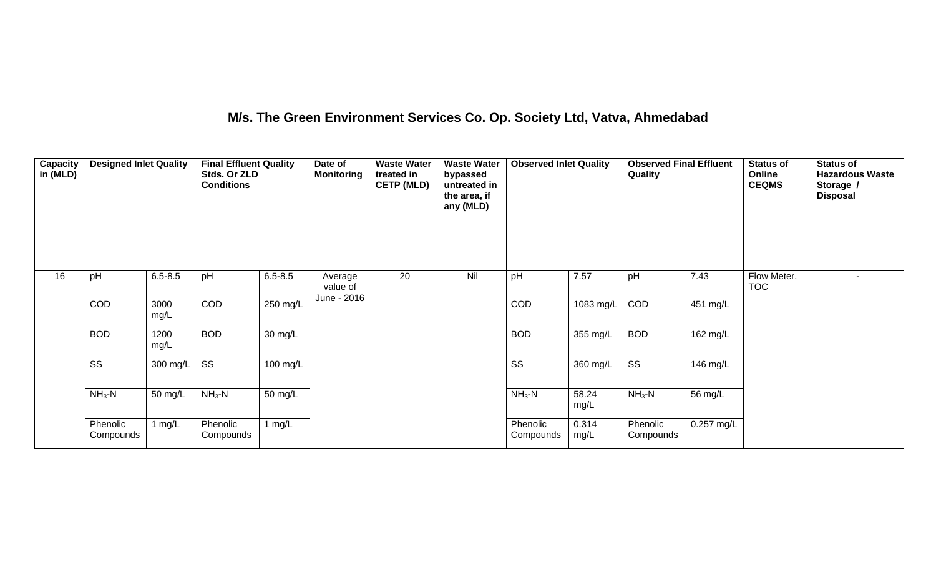## **M/s. The Green Environment Services Co. Op. Society Ltd, Vatva, Ahmedabad**

| <b>Capacity</b><br>in (MLD) | <b>Designed Inlet Quality</b> |              | <b>Final Effluent Quality</b><br>Stds. Or ZLD<br><b>Conditions</b> |                      | Date of<br><b>Monitoring</b>       | <b>Waste Water</b><br>treated in<br><b>CETP (MLD)</b> | <b>Waste Water</b><br>bypassed<br>untreated in<br>the area, if<br>any (MLD) | <b>Observed Inlet Quality</b> |               | <b>Observed Final Effluent</b><br>Quality |            | <b>Status of</b><br>Online<br><b>CEQMS</b> | <b>Status of</b><br><b>Hazardous Waste</b><br>Storage /<br><b>Disposal</b> |
|-----------------------------|-------------------------------|--------------|--------------------------------------------------------------------|----------------------|------------------------------------|-------------------------------------------------------|-----------------------------------------------------------------------------|-------------------------------|---------------|-------------------------------------------|------------|--------------------------------------------|----------------------------------------------------------------------------|
| 16                          | pH                            | $6.5 - 8.5$  | pH                                                                 | $6.5 - 8.5$          | Average<br>value of<br>June - 2016 | 20                                                    | Nil                                                                         | pH                            | 7.57          | pH                                        | 7.43       | Flow Meter,<br><b>TOC</b>                  |                                                                            |
|                             | COD                           | 3000<br>mg/L | COD                                                                | 250 mg/L             |                                    |                                                       |                                                                             | <b>COD</b>                    | 1083 mg/L     | COD                                       | 451 mg/L   |                                            |                                                                            |
|                             | <b>BOD</b>                    | 1200<br>mg/L | <b>BOD</b>                                                         | $\overline{30}$ mg/L |                                    |                                                       |                                                                             | <b>BOD</b>                    | 355 mg/L      | <b>BOD</b>                                | 162 mg/L   |                                            |                                                                            |
|                             | $\overline{\text{ss}}$        | 300 mg/L     | $\overline{\text{SS}}$                                             | 100 mg/L             |                                    |                                                       |                                                                             | $\overline{\text{SS}}$        | 360 mg/L      | $\overline{\text{ss}}$                    | $146$ mg/L |                                            |                                                                            |
|                             | $NH3-N$                       | 50 mg/L      | $NH3-N$                                                            | 50 mg/L              |                                    |                                                       |                                                                             | $NH3-N$                       | 58.24<br>mg/L | $NH3 - N$                                 | 56 mg/L    |                                            |                                                                            |
|                             | Phenolic<br>Compounds         | 1 $mg/L$     | Phenolic<br>Compounds                                              | 1 $mg/L$             |                                    |                                                       |                                                                             | Phenolic<br>Compounds         | 0.314<br>mg/L | Phenolic<br>Compounds                     | 0.257 mg/L |                                            |                                                                            |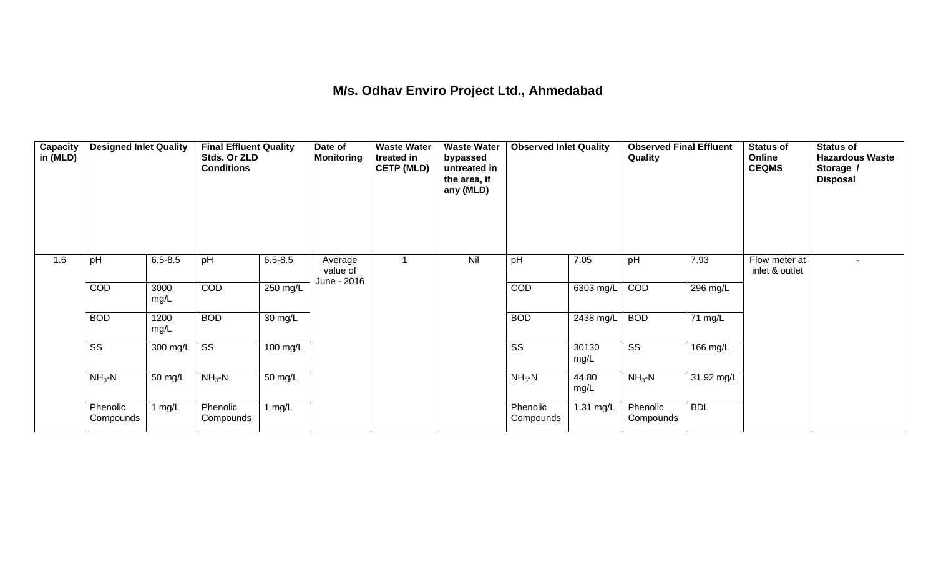## **M/s. Odhav Enviro Project Ltd., Ahmedabad**

| Capacity<br>in (MLD) | <b>Designed Inlet Quality</b> |              | <b>Final Effluent Quality</b><br>Stds. Or ZLD<br><b>Conditions</b> |             | Date of<br><b>Monitoring</b> | <b>Waste Water</b><br>treated in<br><b>CETP (MLD)</b> | <b>Waste Water</b><br>bypassed<br>untreated in<br>the area, if<br>any (MLD) | <b>Observed Inlet Quality</b> |               | <b>Observed Final Effluent</b><br>Quality |                      | <b>Status of</b><br>Online<br><b>CEQMS</b> | <b>Status of</b><br><b>Hazardous Waste</b><br>Storage /<br><b>Disposal</b> |
|----------------------|-------------------------------|--------------|--------------------------------------------------------------------|-------------|------------------------------|-------------------------------------------------------|-----------------------------------------------------------------------------|-------------------------------|---------------|-------------------------------------------|----------------------|--------------------------------------------|----------------------------------------------------------------------------|
| 1.6                  | pH                            | $6.5 - 8.5$  | pH                                                                 | $6.5 - 8.5$ | Average<br>value of          |                                                       | Nil                                                                         | pH                            | 7.05          | pH                                        | 7.93                 | Flow meter at<br>inlet & outlet            |                                                                            |
|                      | COD                           | 3000<br>mg/L | COD                                                                | 250 mg/L    | June - 2016                  |                                                       |                                                                             | COD                           | 6303 mg/L     | COD                                       | 296 mg/L             |                                            |                                                                            |
|                      | <b>BOD</b>                    | 1200<br>mg/L | <b>BOD</b>                                                         | 30 mg/L     |                              |                                                       |                                                                             | <b>BOD</b>                    | 2438 mg/L     | <b>BOD</b>                                | $\overline{71}$ mg/L |                                            |                                                                            |
|                      | $\overline{\text{ss}}$        | 300 mg/L     | $\overline{\text{ss}}$                                             | 100 mg/L    |                              |                                                       |                                                                             | $\overline{\text{ss}}$        | 30130<br>mg/L | $\overline{\text{ss}}$                    | 166 mg/L             |                                            |                                                                            |
|                      | $NH3-N$                       | 50 mg/L      | $NH3-N$                                                            | 50 mg/L     |                              |                                                       |                                                                             | $NH3-N$                       | 44.80<br>mg/L | $NH3-N$                                   | 31.92 mg/L           |                                            |                                                                            |
|                      | Phenolic<br>Compounds         | 1 $mg/L$     | Phenolic<br>Compounds                                              | 1 $mg/L$    |                              |                                                       |                                                                             | Phenolic<br>Compounds         | 1.31 mg/L     | Phenolic<br>Compounds                     | <b>BDL</b>           |                                            |                                                                            |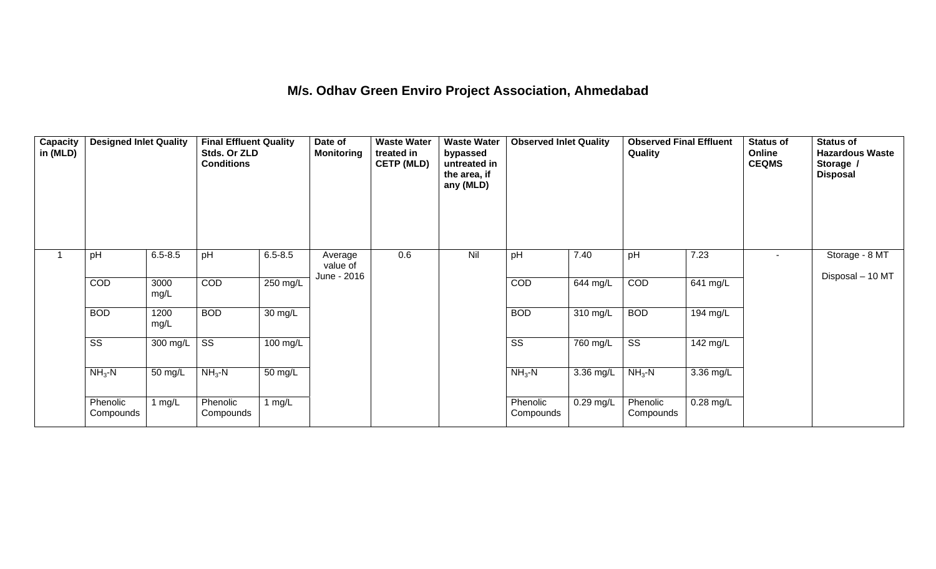## **M/s. Odhav Green Enviro Project Association, Ahmedabad**

| Capacity<br>in (MLD) | <b>Designed Inlet Quality</b> |              | <b>Final Effluent Quality</b><br>Stds. Or ZLD<br><b>Conditions</b> |                      | Date of<br><b>Monitoring</b>       | <b>Waste Water</b><br>treated in<br><b>CETP (MLD)</b> | <b>Waste Water</b><br>bypassed<br>untreated in<br>the area, if<br>any (MLD) | <b>Observed Inlet Quality</b> |                       | <b>Observed Final Effluent</b><br>Quality |             | <b>Status of</b><br>Online<br><b>CEQMS</b> | <b>Status of</b><br><b>Hazardous Waste</b><br>Storage /<br><b>Disposal</b> |
|----------------------|-------------------------------|--------------|--------------------------------------------------------------------|----------------------|------------------------------------|-------------------------------------------------------|-----------------------------------------------------------------------------|-------------------------------|-----------------------|-------------------------------------------|-------------|--------------------------------------------|----------------------------------------------------------------------------|
| $\mathbf{1}$         | pH                            | $6.5 - 8.5$  | pH                                                                 | $6.5 - 8.5$          | Average<br>value of<br>June - 2016 | 0.6                                                   | Nil                                                                         | pH                            | 7.40                  | pH                                        | 7.23        |                                            | Storage - 8 MT<br>Disposal - 10 MT                                         |
|                      | COD                           | 3000<br>mg/L | COD                                                                | 250 mg/L             |                                    |                                                       |                                                                             | COD                           | 644 mg/L              | COD                                       | 641 mg/L    |                                            |                                                                            |
|                      | <b>BOD</b>                    | 1200<br>mg/L | <b>BOD</b>                                                         | $\overline{30}$ mg/L |                                    |                                                       |                                                                             | <b>BOD</b>                    | $310 \text{ mg/L}$    | <b>BOD</b>                                | 194 mg/L    |                                            |                                                                            |
|                      | $\overline{\text{ss}}$        | 300 mg/L     | $\overline{\text{ss}}$                                             | 100 mg/L             |                                    |                                                       |                                                                             | $\overline{\text{ss}}$        | $\overline{760}$ mg/L | $\overline{\text{ss}}$                    | 142 mg/L    |                                            |                                                                            |
|                      | $NH3-N$                       | 50 mg/L      | $NH3-N$                                                            | 50 mg/L              |                                    |                                                       |                                                                             | $NH3-N$                       | 3.36 mg/L             | $NH3 - N$                                 | 3.36 mg/L   |                                            |                                                                            |
|                      | Phenolic<br>Compounds         | 1 $mg/L$     | Phenolic<br>Compounds                                              | 1 $mg/L$             |                                    |                                                       |                                                                             | Phenolic<br>Compounds         | $0.29$ mg/L           | Phenolic<br>Compounds                     | $0.28$ mg/L |                                            |                                                                            |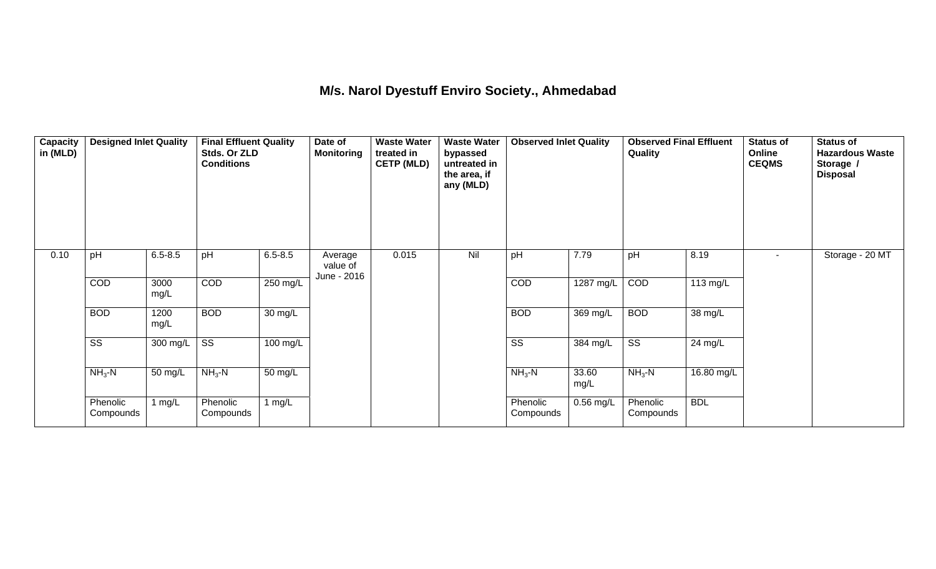## **M/s. Narol Dyestuff Enviro Society., Ahmedabad**

| Capacity<br>in (MLD) | <b>Designed Inlet Quality</b> |              | <b>Final Effluent Quality</b><br>Stds. Or ZLD<br><b>Conditions</b> |             | Date of<br><b>Monitoring</b>       | <b>Waste Water</b><br>treated in<br><b>CETP (MLD)</b> | <b>Waste Water</b><br>bypassed<br>untreated in<br>the area, if<br>any (MLD) | <b>Observed Inlet Quality</b> |                       | <b>Observed Final Effluent</b><br>Quality |            | <b>Status of</b><br>Online<br><b>CEQMS</b> | <b>Status of</b><br><b>Hazardous Waste</b><br>Storage /<br><b>Disposal</b> |
|----------------------|-------------------------------|--------------|--------------------------------------------------------------------|-------------|------------------------------------|-------------------------------------------------------|-----------------------------------------------------------------------------|-------------------------------|-----------------------|-------------------------------------------|------------|--------------------------------------------|----------------------------------------------------------------------------|
| 0.10                 | pH                            | $6.5 - 8.5$  | pH                                                                 | $6.5 - 8.5$ | Average<br>value of<br>June - 2016 | 0.015                                                 | Nil                                                                         | pH                            | 7.79                  | pH                                        | 8.19       | $\sim$                                     | Storage - 20 MT                                                            |
|                      | COD                           | 3000<br>mg/L | COD                                                                | 250 mg/L    |                                    |                                                       |                                                                             | COD                           | 1287 mg/L             | COD                                       | $113$ mg/L |                                            |                                                                            |
|                      | <b>BOD</b>                    | 1200<br>mg/L | <b>BOD</b>                                                         | 30 mg/L     |                                    |                                                       |                                                                             | <b>BOD</b>                    | 369 mg/L              | <b>BOD</b>                                | 38 mg/L    |                                            |                                                                            |
|                      | $\overline{\text{ss}}$        | 300 mg/L     | $\overline{\text{ss}}$                                             | 100 mg/L    |                                    |                                                       |                                                                             | $\overline{\text{ss}}$        | $\overline{384}$ mg/L | $\overline{\text{ss}}$                    | 24 mg/L    |                                            |                                                                            |
|                      | $NH3$ -N                      | 50 mg/L      | $NH3-N$                                                            | 50 mg/L     |                                    |                                                       |                                                                             | $NH3-N$                       | 33.60<br>mg/L         | $NH3-N$                                   | 16.80 mg/L |                                            |                                                                            |
|                      | Phenolic<br>Compounds         | 1 $mg/L$     | Phenolic<br>Compounds                                              | 1 $mg/L$    |                                    |                                                       |                                                                             | Phenolic<br>Compounds         | $0.56$ mg/L           | Phenolic<br>Compounds                     | <b>BDL</b> |                                            |                                                                            |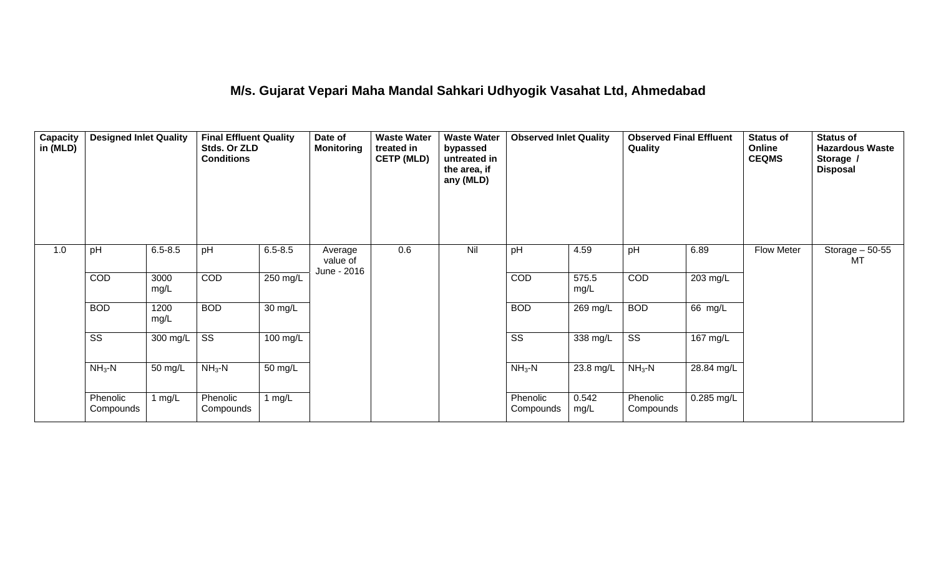#### **M/s. Gujarat Vepari Maha Mandal Sahkari Udhyogik Vasahat Ltd, Ahmedabad**

| Capacity<br>in (MLD) | <b>Designed Inlet Quality</b> |              | <b>Final Effluent Quality</b><br>Stds. Or ZLD<br><b>Conditions</b> |             | Date of<br><b>Monitoring</b>       | <b>Waste Water</b><br>treated in<br><b>CETP (MLD)</b> | <b>Waste Water</b><br>bypassed<br>untreated in<br>the area, if<br>any (MLD) | <b>Observed Inlet Quality</b> |               | <b>Observed Final Effluent</b><br>Quality |            | <b>Status of</b><br>Online<br><b>CEQMS</b> | <b>Status of</b><br><b>Hazardous Waste</b><br>Storage /<br><b>Disposal</b> |
|----------------------|-------------------------------|--------------|--------------------------------------------------------------------|-------------|------------------------------------|-------------------------------------------------------|-----------------------------------------------------------------------------|-------------------------------|---------------|-------------------------------------------|------------|--------------------------------------------|----------------------------------------------------------------------------|
| 1.0                  | pH                            | $6.5 - 8.5$  | pH                                                                 | $6.5 - 8.5$ | Average<br>value of<br>June - 2016 | 0.6                                                   | Nil                                                                         | pH                            | 4.59          | pH                                        | 6.89       | Flow Meter                                 | Storage $-50-55$<br>MT                                                     |
|                      | COD                           | 3000<br>mg/L | COD                                                                | 250 mg/L    |                                    |                                                       |                                                                             | COD                           | 575.5<br>mg/L | COD                                       | 203 mg/L   |                                            |                                                                            |
|                      | <b>BOD</b>                    | 1200<br>mg/L | <b>BOD</b>                                                         | 30 mg/L     |                                    |                                                       |                                                                             | <b>BOD</b>                    | 269 mg/L      | <b>BOD</b>                                | 66 mg/L    |                                            |                                                                            |
|                      | $\overline{\text{SS}}$        | 300 mg/L     | $\overline{\text{SS}}$                                             | 100 mg/L    |                                    |                                                       |                                                                             | $\overline{\text{SS}}$        | 338 mg/L      | $\overline{\text{SS}}$                    | 167 mg/L   |                                            |                                                                            |
|                      | $NH3-N$                       | 50 mg/L      | $NH3-N$                                                            | 50 mg/L     |                                    |                                                       |                                                                             | $NH3-N$                       | $23.8$ mg/L   | $NH3-N$                                   | 28.84 mg/L |                                            |                                                                            |
|                      | Phenolic<br>Compounds         | 1 $mg/L$     | Phenolic<br>Compounds                                              | 1 $mg/L$    |                                    |                                                       |                                                                             | Phenolic<br>Compounds         | 0.542<br>mg/L | Phenolic<br>Compounds                     | 0.285 mg/L |                                            |                                                                            |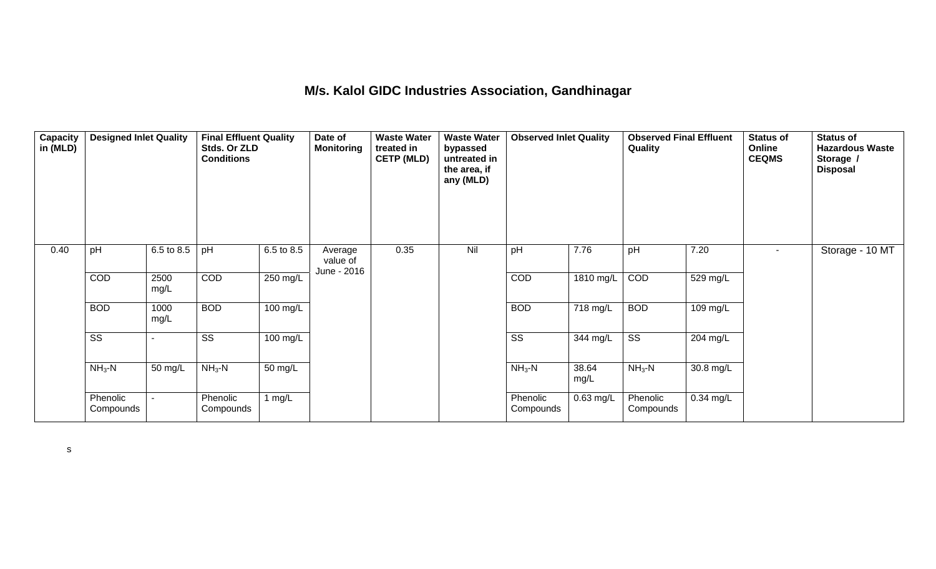#### **M/s. Kalol GIDC Industries Association, Gandhinagar**

| Capacity<br>in (MLD) | <b>Designed Inlet Quality</b> |              | <b>Final Effluent Quality</b><br>Stds. Or ZLD<br><b>Conditions</b> |                    | Date of<br><b>Monitoring</b>       | <b>Waste Water</b><br>treated in<br><b>CETP (MLD)</b> | <b>Waste Water</b><br>bypassed<br>untreated in<br>the area, if<br>any (MLD) | <b>Observed Inlet Quality</b> |               | <b>Observed Final Effluent</b><br>Quality |             | <b>Status of</b><br>Online<br><b>CEQMS</b> | <b>Status of</b><br><b>Hazardous Waste</b><br>Storage /<br><b>Disposal</b> |
|----------------------|-------------------------------|--------------|--------------------------------------------------------------------|--------------------|------------------------------------|-------------------------------------------------------|-----------------------------------------------------------------------------|-------------------------------|---------------|-------------------------------------------|-------------|--------------------------------------------|----------------------------------------------------------------------------|
| 0.40                 | pH                            | 6.5 to 8.5   | pH                                                                 | 6.5 to 8.5         | Average<br>value of<br>June - 2016 | 0.35                                                  | Nil                                                                         | pH                            | 7.76          | pH                                        | 7.20        | $\sim$                                     | Storage - 10 MT                                                            |
|                      | COD                           | 2500<br>mg/L | COD                                                                | $250 \text{ mg/L}$ |                                    |                                                       |                                                                             | COD                           | $1810$ mg/L   | COD                                       | 529 mg/L    |                                            |                                                                            |
|                      | <b>BOD</b>                    | 1000<br>mg/L | <b>BOD</b>                                                         | 100 mg/L           |                                    |                                                       |                                                                             | <b>BOD</b>                    | 718 mg/L      | <b>BOD</b>                                | 109 mg/L    |                                            |                                                                            |
|                      | $\overline{\text{SS}}$        |              | SS                                                                 | 100 mg/L           |                                    |                                                       |                                                                             | $\overline{\text{ss}}$        | 344 mg/L      | $\overline{\text{ss}}$                    | 204 mg/L    |                                            |                                                                            |
|                      | $NH3-N$                       | 50 mg/L      | $NH3-N$                                                            | 50 mg/L            |                                    |                                                       |                                                                             | $NH3-N$                       | 38.64<br>mg/L | $NH3$ -N                                  | 30.8 mg/L   |                                            |                                                                            |
|                      | Phenolic<br>Compounds         |              | Phenolic<br>Compounds                                              | 1 $mg/L$           |                                    |                                                       |                                                                             | Phenolic<br>Compounds         | $0.63$ mg/L   | Phenolic<br>Compounds                     | $0.34$ mg/L |                                            |                                                                            |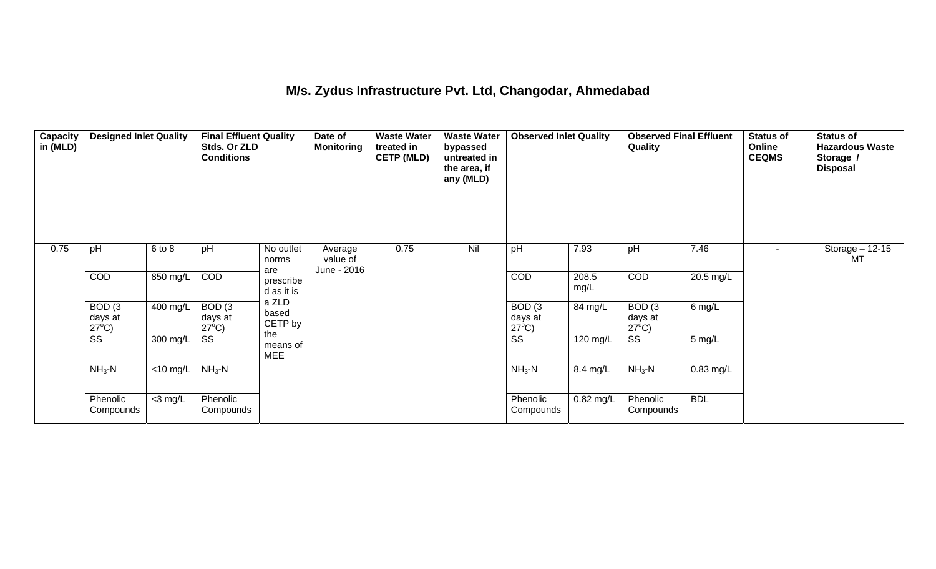## **M/s. Zydus Infrastructure Pvt. Ltd, Changodar, Ahmedabad**

| Capacity<br>in (MLD) | <b>Designed Inlet Quality</b>        |                       | <b>Final Effluent Quality</b><br>Stds. Or ZLD<br><b>Conditions</b> |                                | Date of<br><b>Monitoring</b>       | <b>Waste Water</b><br>treated in<br><b>CETP (MLD)</b> | <b>Waste Water</b><br>bypassed<br>untreated in<br>the area, if<br>any (MLD) | <b>Observed Inlet Quality</b>        |               | <b>Observed Final Effluent</b><br>Quality |             | <b>Status of</b><br>Online<br><b>CEQMS</b> | <b>Status of</b><br><b>Hazardous Waste</b><br>Storage /<br><b>Disposal</b> |
|----------------------|--------------------------------------|-----------------------|--------------------------------------------------------------------|--------------------------------|------------------------------------|-------------------------------------------------------|-----------------------------------------------------------------------------|--------------------------------------|---------------|-------------------------------------------|-------------|--------------------------------------------|----------------------------------------------------------------------------|
| 0.75                 | pH                                   | 6 to 8                | pH                                                                 | No outlet<br>norms             | Average<br>value of<br>June - 2016 | 0.75                                                  | Nil                                                                         | pH                                   | 7.93          | pH                                        | 7.46        |                                            | Storage $-12-15$<br>MT                                                     |
|                      | COD                                  | 850 mg/L              | COD                                                                | are<br>prescribe<br>d as it is |                                    |                                                       |                                                                             | COD                                  | 208.5<br>mg/L | <b>COD</b>                                | 20.5 mg/L   |                                            |                                                                            |
|                      | BOD(3)<br>days at<br>$27^{\circ}$ C) | $\overline{400}$ mg/L | BOD(3)<br>days at<br>$27^{\circ}$ C)                               | a ZLD<br>based<br>CETP by      |                                    |                                                       |                                                                             | BOD(3)<br>days at<br>$27^{\circ}$ C) | 84 mg/L       | BOD(3)<br>days at<br>$27^{\circ}$ C)      | $6$ mg/L    |                                            |                                                                            |
|                      | $\overline{\text{ss}}$               | 300 mg/L              | SS                                                                 | the<br>means of<br><b>MEE</b>  |                                    |                                                       |                                                                             | $\overline{\text{ss}}$               | 120 mg/L      | $\overline{\text{ss}}$                    | 5 mg/L      |                                            |                                                                            |
|                      | $NH3-N$                              | $<$ 10 mg/L           | $NH3-N$                                                            |                                |                                    |                                                       |                                                                             | $NH3-N$                              | 8.4 mg/L      | $NH3$ -N                                  | $0.83$ mg/L |                                            |                                                                            |
|                      | Phenolic<br>Compounds                | $<$ 3 mg/L            | Phenolic<br>Compounds                                              |                                |                                    |                                                       |                                                                             | Phenolic<br>Compounds                | 0.82 mg/L     | Phenolic<br>Compounds                     | <b>BDL</b>  |                                            |                                                                            |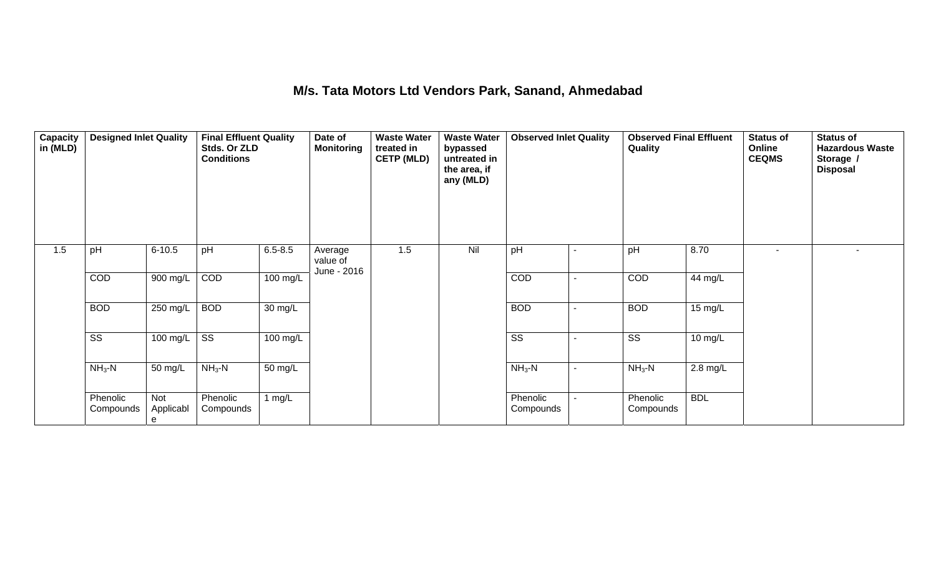#### **M/s. Tata Motors Ltd Vendors Park, Sanand, Ahmedabad**

| Capacity<br>in (MLD) | <b>Designed Inlet Quality</b> |                       | <b>Final Effluent Quality</b><br>Stds. Or ZLD<br><b>Conditions</b> |                      | Date of<br><b>Monitoring</b>       | <b>Waste Water</b><br>treated in<br><b>CETP (MLD)</b> | <b>Waste Water</b><br>bypassed<br>untreated in<br>the area, if<br>any (MLD) | <b>Observed Inlet Quality</b> |                | <b>Observed Final Effluent</b><br>Quality |            | <b>Status of</b><br>Online<br><b>CEQMS</b> | <b>Status of</b><br><b>Hazardous Waste</b><br>Storage /<br><b>Disposal</b> |
|----------------------|-------------------------------|-----------------------|--------------------------------------------------------------------|----------------------|------------------------------------|-------------------------------------------------------|-----------------------------------------------------------------------------|-------------------------------|----------------|-------------------------------------------|------------|--------------------------------------------|----------------------------------------------------------------------------|
| 1.5                  | pH                            | $6 - 10.5$            | pH                                                                 | $6.5 - 8.5$          | Average<br>value of<br>June - 2016 | 1.5                                                   | Nil                                                                         | pH                            |                | pH                                        | 8.70       |                                            | $\overline{\phantom{a}}$                                                   |
|                      | COD                           | 900 mg/L              | COD                                                                | 100 mg/L             |                                    |                                                       |                                                                             | COD                           |                | COD                                       | 44 mg/L    |                                            |                                                                            |
|                      | <b>BOD</b>                    | 250 mg/L              | <b>BOD</b>                                                         | $\overline{30}$ mg/L |                                    |                                                       |                                                                             | <b>BOD</b>                    |                | <b>BOD</b>                                | 15 mg/L    |                                            |                                                                            |
|                      | $\overline{\text{SS}}$        | 100 mg/L              | $\overline{\text{ss}}$                                             | 100 mg/L             |                                    |                                                       |                                                                             | SS                            |                | SS                                        | 10 mg/L    |                                            |                                                                            |
|                      | $NH3-N$                       | 50 mg/L               | $NH3$ -N                                                           | 50 mg/L              |                                    |                                                       |                                                                             | $NH3-N$                       | $\blacksquare$ | $NH3-N$                                   | $2.8$ mg/L |                                            |                                                                            |
|                      | Phenolic<br>Compounds         | Not<br>Applicabl<br>е | Phenolic<br>Compounds                                              | 1 $mg/L$             |                                    |                                                       |                                                                             | Phenolic<br>Compounds         |                | Phenolic<br>Compounds                     | <b>BDL</b> |                                            |                                                                            |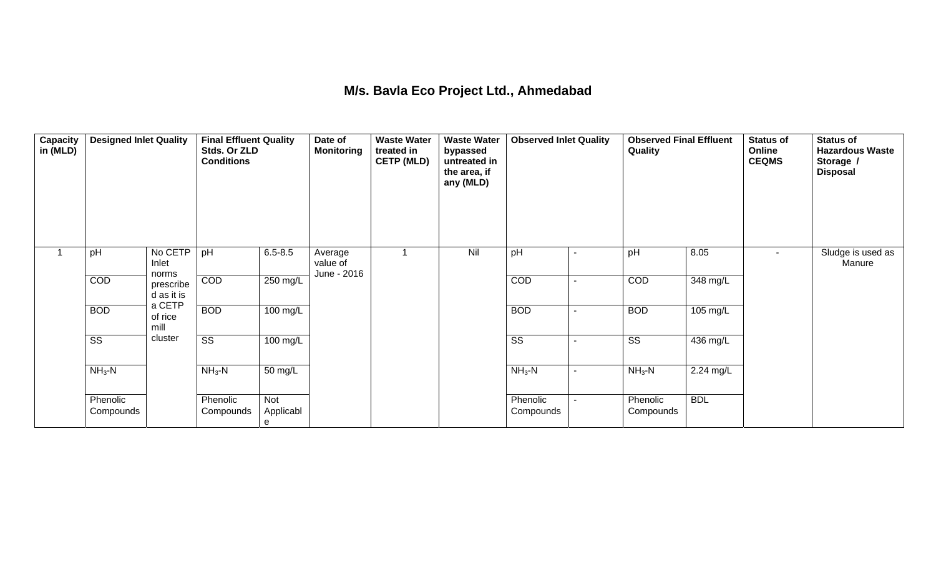## **M/s. Bavla Eco Project Ltd., Ahmedabad**

| Capacity<br>in (MLD) | <b>Designed Inlet Quality</b> |                           | <b>Final Effluent Quality</b><br>Stds. Or ZLD<br><b>Conditions</b> |                       | Date of<br><b>Monitoring</b>       | <b>Waste Water</b><br>treated in<br><b>CETP (MLD)</b> | <b>Waste Water</b><br>bypassed<br>untreated in<br>the area, if<br>any (MLD) | <b>Observed Inlet Quality</b> |                          | <b>Observed Final Effluent</b><br>Quality |            | <b>Status of</b><br>Online<br><b>CEQMS</b> | <b>Status of</b><br><b>Hazardous Waste</b><br>Storage /<br><b>Disposal</b> |
|----------------------|-------------------------------|---------------------------|--------------------------------------------------------------------|-----------------------|------------------------------------|-------------------------------------------------------|-----------------------------------------------------------------------------|-------------------------------|--------------------------|-------------------------------------------|------------|--------------------------------------------|----------------------------------------------------------------------------|
|                      | pH                            | No CETP<br>Inlet<br>norms | pH                                                                 | $6.5 - 8.5$           | Average<br>value of<br>June - 2016 |                                                       | Nil                                                                         | pH                            | ٠                        | pH                                        | 8.05       | $\sim$                                     | Sludge is used as<br>Manure                                                |
|                      | COD                           | prescribe<br>d as it is   | COD                                                                | 250 mg/L              |                                    |                                                       |                                                                             | COD                           | $\overline{\phantom{0}}$ | COD                                       | 348 mg/L   |                                            |                                                                            |
|                      | <b>BOD</b>                    | a CETP<br>of rice<br>mill | <b>BOD</b>                                                         | 100 mg/L              |                                    |                                                       |                                                                             | <b>BOD</b>                    | ۰                        | <b>BOD</b>                                | 105 mg/L   |                                            |                                                                            |
|                      | $\overline{\text{ss}}$        | cluster                   | $\overline{\text{ss}}$                                             | 100 mg/L              |                                    |                                                       |                                                                             | $\overline{\text{ss}}$        | $\blacksquare$           | $\overline{\text{ss}}$                    | 436 mg/L   |                                            |                                                                            |
|                      | $NH3-N$                       |                           | $NH3-N$                                                            | 50 mg/L               |                                    |                                                       |                                                                             | $NH3-N$                       | $\blacksquare$           | $NH3$ -N                                  | 2.24 mg/L  |                                            |                                                                            |
|                      | Phenolic<br>Compounds         |                           | Phenolic<br>Compounds                                              | Not<br>Applicabl<br>e |                                    |                                                       |                                                                             | Phenolic<br>Compounds         |                          | Phenolic<br>Compounds                     | <b>BDL</b> |                                            |                                                                            |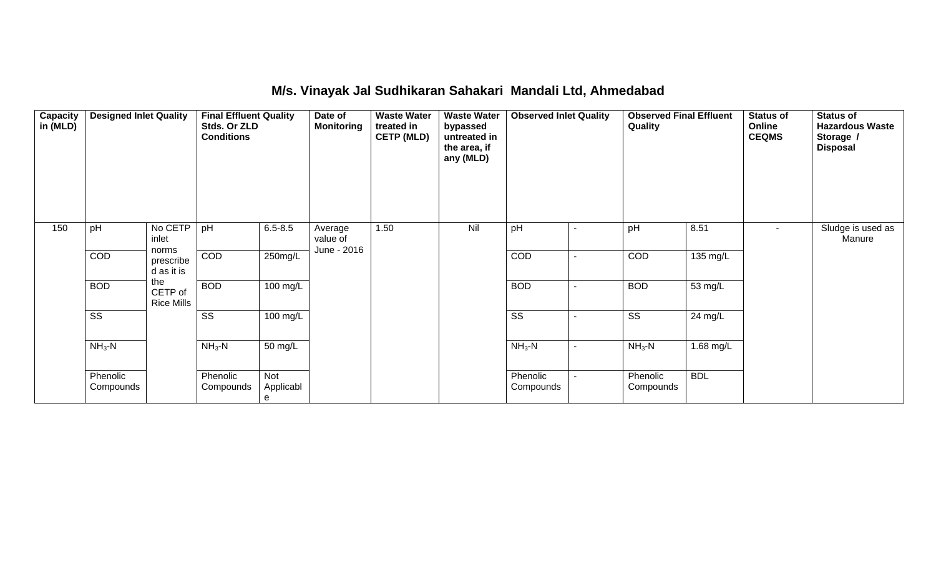#### **M/s. Vinayak Jal Sudhikaran Sahakari Mandali Ltd, Ahmedabad**

| Capacity<br>in (MLD) | <b>Designed Inlet Quality</b> |                                     | <b>Final Effluent Quality</b><br>Stds. Or ZLD<br><b>Conditions</b> |                       | Date of<br><b>Monitoring</b>       | <b>Waste Water</b><br>treated in<br><b>CETP (MLD)</b> | <b>Waste Water</b><br>bypassed<br>untreated in<br>the area, if<br>any (MLD) | <b>Observed Inlet Quality</b> |                | <b>Observed Final Effluent</b><br>Quality |            | <b>Status of</b><br>Online<br><b>CEQMS</b> | <b>Status of</b><br><b>Hazardous Waste</b><br>Storage /<br><b>Disposal</b> |
|----------------------|-------------------------------|-------------------------------------|--------------------------------------------------------------------|-----------------------|------------------------------------|-------------------------------------------------------|-----------------------------------------------------------------------------|-------------------------------|----------------|-------------------------------------------|------------|--------------------------------------------|----------------------------------------------------------------------------|
| 150                  | pH                            | No CETP<br>inlet                    | pH                                                                 | $6.5 - 8.5$           | Average<br>value of<br>June - 2016 | 1.50                                                  | Nil                                                                         | pH                            | $\blacksquare$ | pH                                        | 8.51       | $\sim$                                     | Sludge is used as<br>Manure                                                |
|                      | COD                           | norms<br>prescribe<br>d as it is    | COD                                                                | $250$ mg/L            |                                    |                                                       |                                                                             | COD                           | $\sim$         | COD                                       | 135 mg/L   |                                            |                                                                            |
|                      | <b>BOD</b>                    | the<br>CETP of<br><b>Rice Mills</b> | <b>BOD</b>                                                         | 100 mg/L              |                                    |                                                       |                                                                             | <b>BOD</b>                    | $\blacksquare$ | <b>BOD</b>                                | 53 mg/L    |                                            |                                                                            |
|                      | $\overline{\text{SS}}$        |                                     | $\overline{\text{SS}}$                                             | 100 mg/L              |                                    |                                                       |                                                                             | $\overline{\text{ss}}$        | $\sim$         | $\overline{\text{SS}}$                    | 24 mg/L    |                                            |                                                                            |
|                      | $NH3$ -N                      |                                     | $NH3-N$                                                            | 50 mg/L               |                                    |                                                       |                                                                             | $NH3-N$                       | $\blacksquare$ | $NH3$ -N                                  | 1.68 mg/L  |                                            |                                                                            |
|                      | Phenolic<br>Compounds         |                                     | Phenolic<br>Compounds                                              | Not<br>Applicabl<br>e |                                    |                                                       |                                                                             | Phenolic<br>Compounds         | $\sim$         | Phenolic<br>Compounds                     | <b>BDL</b> |                                            |                                                                            |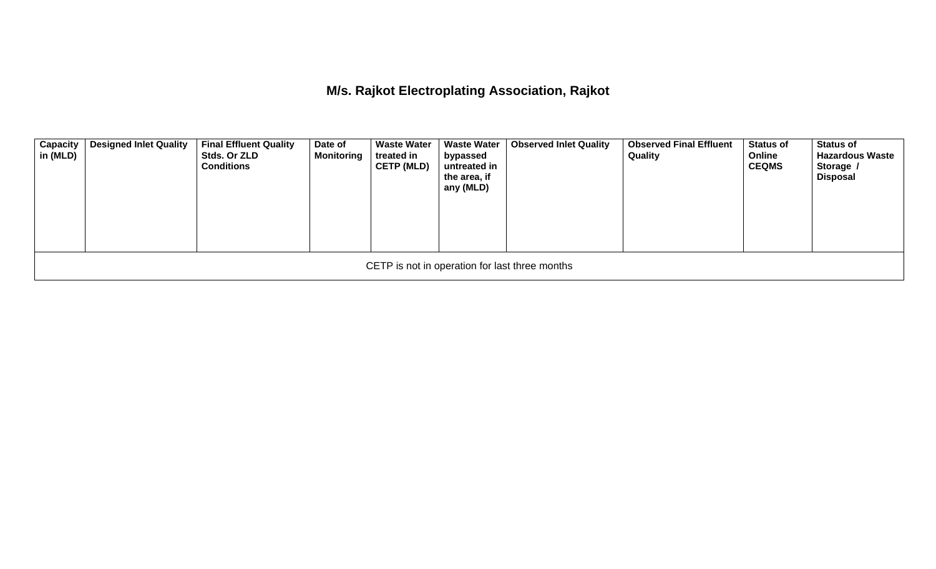**M/s. Rajkot Electroplating Association, Rajkot** 

| <b>Capacity</b><br>in (MLD)                    | <b>Designed Inlet Quality</b> | <b>Final Effluent Quality</b><br>Stds. Or ZLD<br><b>Conditions</b> | Date of<br><b>Monitoring</b> | <b>Waste Water</b><br>treated in<br><b>CETP (MLD)</b> | <b>Waste Water</b><br>bypassed<br>untreated in<br>the area, if<br>any (MLD) | <b>Observed Inlet Quality</b> | <b>Observed Final Effluent</b><br>Quality | <b>Status of</b><br>Online<br><b>CEQMS</b> | <b>Status of</b><br><b>Hazardous Waste</b><br>Storage /<br><b>Disposal</b> |  |  |  |
|------------------------------------------------|-------------------------------|--------------------------------------------------------------------|------------------------------|-------------------------------------------------------|-----------------------------------------------------------------------------|-------------------------------|-------------------------------------------|--------------------------------------------|----------------------------------------------------------------------------|--|--|--|
| CETP is not in operation for last three months |                               |                                                                    |                              |                                                       |                                                                             |                               |                                           |                                            |                                                                            |  |  |  |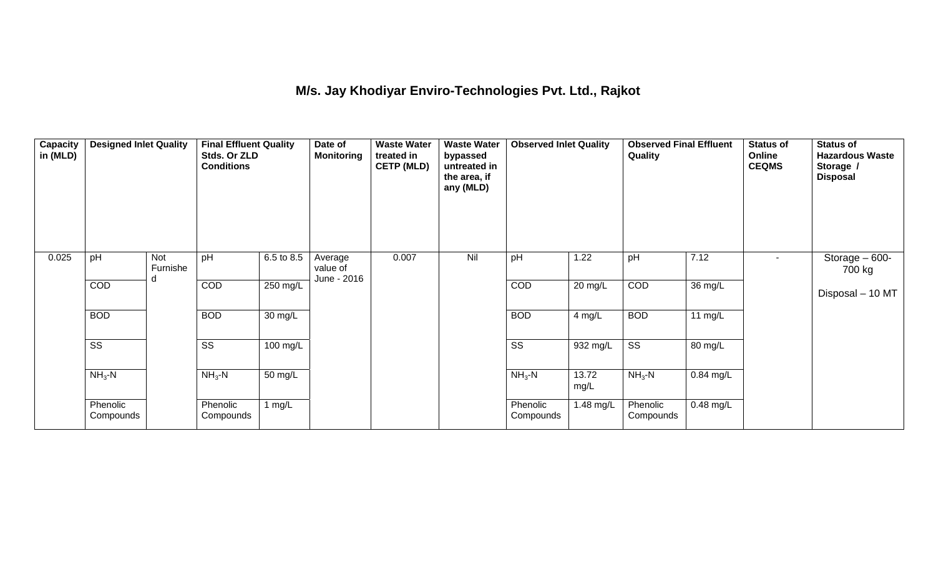## **M/s. Jay Khodiyar Enviro-Technologies Pvt. Ltd., Rajkot**

| Capacity<br>in (MLD) | <b>Designed Inlet Quality</b> |                      | <b>Final Effluent Quality</b><br>Stds. Or ZLD<br><b>Conditions</b> |                    | Date of<br><b>Monitoring</b>       | <b>Waste Water</b><br>treated in<br><b>CETP (MLD)</b> | <b>Waste Water</b><br>bypassed<br>untreated in<br>the area, if<br>any (MLD) | <b>Observed Inlet Quality</b> |               | <b>Observed Final Effluent</b><br>Quality |             | <b>Status of</b><br>Online<br><b>CEQMS</b> | <b>Status of</b><br><b>Hazardous Waste</b><br>Storage /<br><b>Disposal</b> |
|----------------------|-------------------------------|----------------------|--------------------------------------------------------------------|--------------------|------------------------------------|-------------------------------------------------------|-----------------------------------------------------------------------------|-------------------------------|---------------|-------------------------------------------|-------------|--------------------------------------------|----------------------------------------------------------------------------|
| 0.025                | pH                            | Not<br>Furnishe<br>d | pH                                                                 | 6.5 to 8.5         | Average<br>value of<br>June - 2016 | 0.007                                                 | Nil                                                                         | pH                            | 1.22          | pH                                        | 7.12        | $\sim$                                     | Storage $-600-$<br>700 kg                                                  |
|                      | COD                           |                      | COD                                                                | 250 mg/L           |                                    |                                                       |                                                                             | COD                           | 20 mg/L       | COD                                       | 36 mg/L     |                                            | Disposal - 10 MT                                                           |
|                      | <b>BOD</b>                    |                      | <b>BOD</b>                                                         | 30 mg/L            |                                    |                                                       |                                                                             | <b>BOD</b>                    | 4 mg/L        | <b>BOD</b>                                | 11 $mg/L$   |                                            |                                                                            |
|                      | $\overline{\text{ss}}$        |                      | $\overline{\text{ss}}$                                             | $100 \text{ mg/L}$ |                                    |                                                       |                                                                             | $\overline{\text{ss}}$        | 932 mg/L      | $\overline{\text{ss}}$                    | 80 mg/L     |                                            |                                                                            |
|                      | $NH3-N$                       |                      | $NH3$ -N                                                           | 50 mg/L            |                                    |                                                       |                                                                             | $NH3-N$                       | 13.72<br>mg/L | $NH3$ -N                                  | $0.84$ mg/L |                                            |                                                                            |
|                      | Phenolic<br>Compounds         |                      | Phenolic<br>Compounds                                              | 1 $mg/L$           |                                    |                                                       |                                                                             | Phenolic<br>Compounds         | 1.48 mg/L     | Phenolic<br>Compounds                     | $0.48$ mg/L |                                            |                                                                            |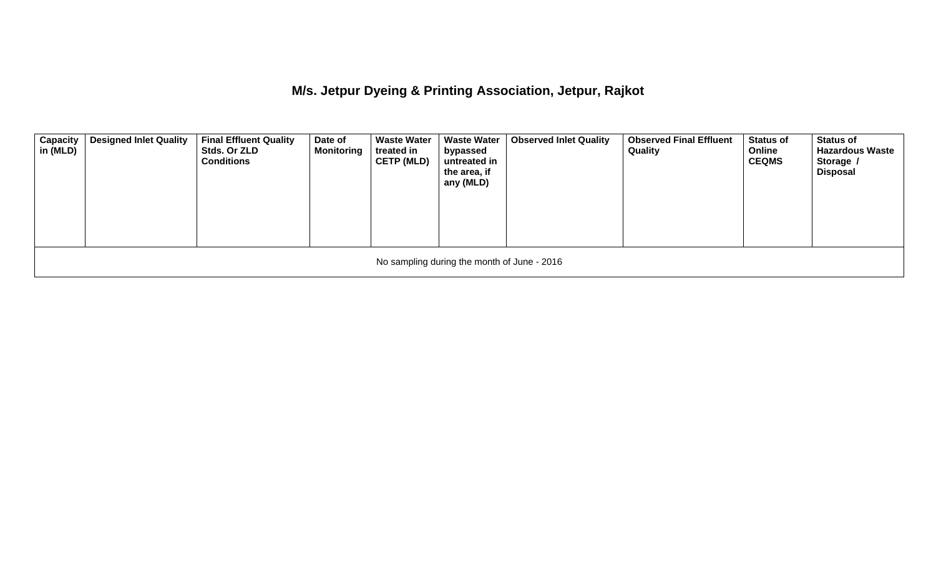**M/s. Jetpur Dyeing & Printing Association, Jetpur, Rajkot** 

| <b>Capacity</b><br>in (MLD)                 | <b>Designed Inlet Quality</b> | <b>Final Effluent Quality</b><br>Stds. Or ZLD<br><b>Conditions</b> | Date of<br><b>Monitoring</b> | <b>Waste Water</b><br>treated in<br><b>CETP (MLD)</b> | <b>Waste Water</b><br>bypassed<br>untreated in<br>the area, if<br>any (MLD) | <b>Observed Inlet Quality</b> | <b>Observed Final Effluent</b><br>Quality | <b>Status of</b><br>Online<br><b>CEQMS</b> | <b>Status of</b><br><b>Hazardous Waste</b><br>Storage /<br>Disposal |  |  |
|---------------------------------------------|-------------------------------|--------------------------------------------------------------------|------------------------------|-------------------------------------------------------|-----------------------------------------------------------------------------|-------------------------------|-------------------------------------------|--------------------------------------------|---------------------------------------------------------------------|--|--|
| No sampling during the month of June - 2016 |                               |                                                                    |                              |                                                       |                                                                             |                               |                                           |                                            |                                                                     |  |  |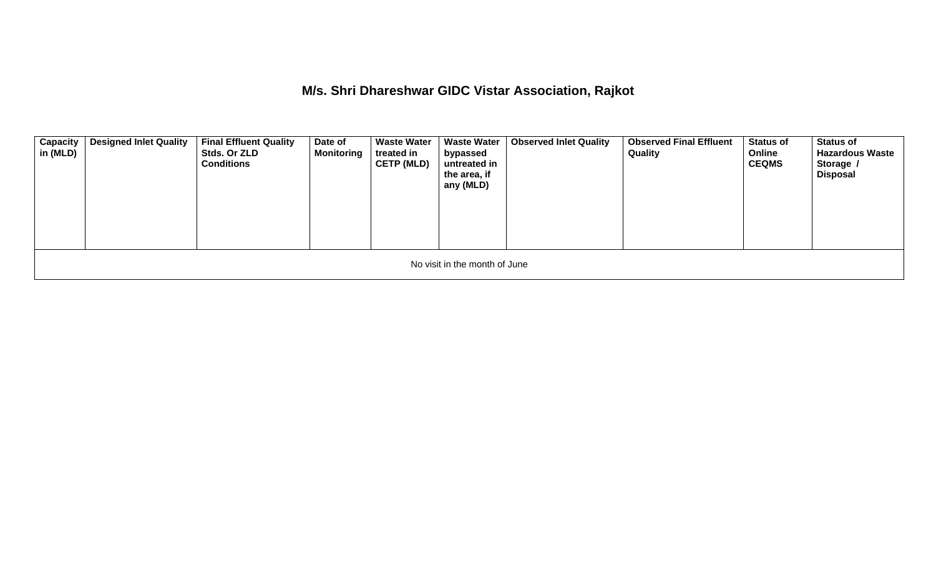**M/s. Shri Dhareshwar GIDC Vistar Association, Rajkot** 

| <b>Capacity</b><br>in (MLD)   | <b>Designed Inlet Quality</b> | <b>Final Effluent Quality</b><br>Stds. Or ZLD<br><b>Conditions</b> | Date of<br><b>Monitoring</b> | <b>Waste Water</b><br>treated in<br><b>CETP (MLD)</b> | <b>Waste Water</b><br>bypassed<br>untreated in<br>the area, if<br>any (MLD) | <b>Observed Inlet Quality</b> | <b>Observed Final Effluent</b><br>Quality | <b>Status of</b><br>Online<br><b>CEQMS</b> | <b>Status of</b><br><b>Hazardous Waste</b><br>Storage /<br><b>Disposal</b> |  |  |  |
|-------------------------------|-------------------------------|--------------------------------------------------------------------|------------------------------|-------------------------------------------------------|-----------------------------------------------------------------------------|-------------------------------|-------------------------------------------|--------------------------------------------|----------------------------------------------------------------------------|--|--|--|
| No visit in the month of June |                               |                                                                    |                              |                                                       |                                                                             |                               |                                           |                                            |                                                                            |  |  |  |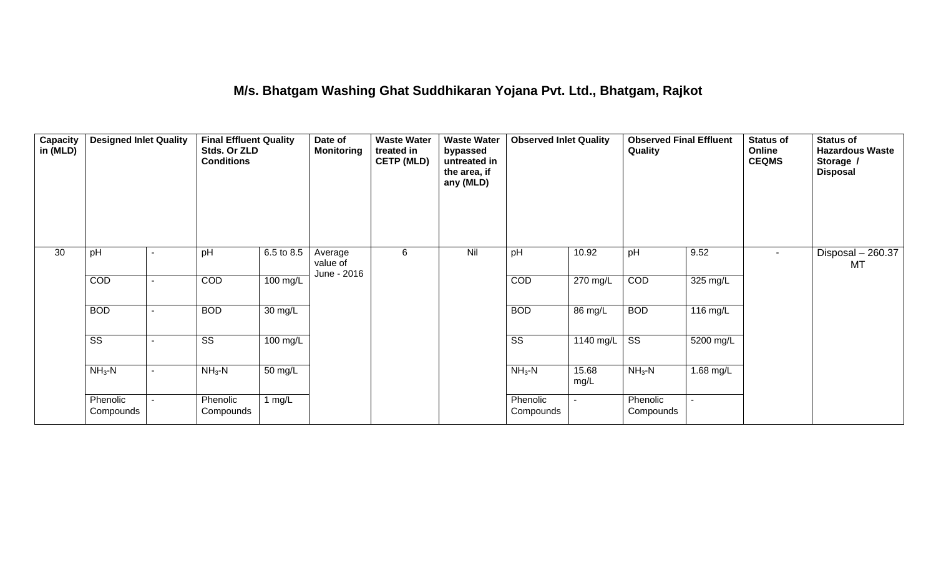#### **M/s. Bhatgam Washing Ghat Suddhikaran Yojana Pvt. Ltd., Bhatgam, Rajkot**

| Capacity<br>in (MLD) | <b>Designed Inlet Quality</b> |  | <b>Final Effluent Quality</b><br>Stds. Or ZLD<br><b>Conditions</b> |            | Date of<br><b>Monitoring</b>       | <b>Waste Water</b><br>treated in<br><b>CETP (MLD)</b> | <b>Waste Water</b><br>bypassed<br>untreated in<br>the area, if<br>any (MLD) | <b>Observed Inlet Quality</b> |               | <b>Observed Final Effluent</b><br>Quality |           | <b>Status of</b><br>Online<br><b>CEQMS</b> | <b>Status of</b><br><b>Hazardous Waste</b><br>Storage /<br><b>Disposal</b> |
|----------------------|-------------------------------|--|--------------------------------------------------------------------|------------|------------------------------------|-------------------------------------------------------|-----------------------------------------------------------------------------|-------------------------------|---------------|-------------------------------------------|-----------|--------------------------------------------|----------------------------------------------------------------------------|
| 30                   | pH                            |  | pH                                                                 | 6.5 to 8.5 | Average<br>value of<br>June - 2016 | 6                                                     | Nil                                                                         | pH                            | 10.92         | pH                                        | 9.52      | $\sim$                                     | Disposal - 260.37<br>MT                                                    |
|                      | COD                           |  | COD                                                                | 100 mg/L   |                                    |                                                       |                                                                             | COD                           | 270 mg/L      | COD                                       | 325 mg/L  |                                            |                                                                            |
|                      | <b>BOD</b>                    |  | <b>BOD</b>                                                         | 30 mg/L    |                                    |                                                       |                                                                             | <b>BOD</b>                    | 86 mg/L       | <b>BOD</b>                                | 116 mg/L  |                                            |                                                                            |
|                      | $\overline{\text{SS}}$        |  | $\overline{\text{ss}}$                                             | 100 mg/L   |                                    |                                                       |                                                                             | $\overline{\text{ss}}$        | $1140$ mg/L   | $\overline{\text{ss}}$                    | 5200 mg/L |                                            |                                                                            |
|                      | $NH3-N$                       |  | $NH3-N$                                                            | 50 mg/L    |                                    |                                                       |                                                                             | $NH3-N$                       | 15.68<br>mg/L | $NH3-N$                                   | 1.68 mg/L |                                            |                                                                            |
|                      | Phenolic<br>Compounds         |  | Phenolic<br>Compounds                                              | 1 mg/L     |                                    |                                                       |                                                                             | Phenolic<br>Compounds         |               | Phenolic<br>Compounds                     | ٠         |                                            |                                                                            |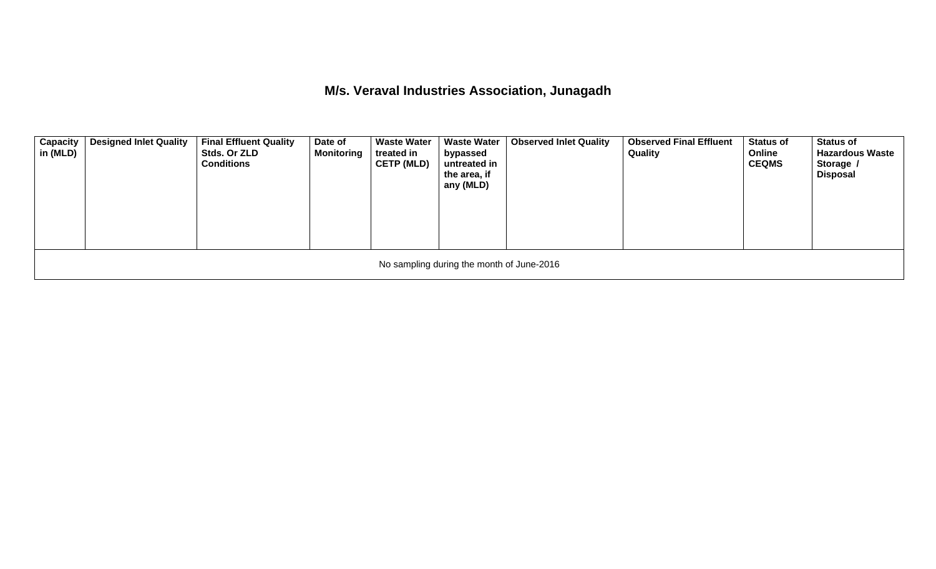**M/s. Veraval Industries Association, Junagadh** 

| <b>Capacity</b><br>in (MLD)               | <b>Designed Inlet Quality</b> | <b>Final Effluent Quality</b><br>Stds. Or ZLD<br><b>Conditions</b> | Date of<br><b>Monitoring</b> | <b>Waste Water</b><br>treated in<br><b>CETP (MLD)</b> | <b>Waste Water</b><br>bypassed<br>untreated in<br>the area, if<br>any (MLD) | <b>Observed Inlet Quality</b> | <b>Observed Final Effluent</b><br>Quality | <b>Status of</b><br>Online<br><b>CEQMS</b> | <b>Status of</b><br><b>Hazardous Waste</b><br>Storage /<br><b>Disposal</b> |  |  |  |
|-------------------------------------------|-------------------------------|--------------------------------------------------------------------|------------------------------|-------------------------------------------------------|-----------------------------------------------------------------------------|-------------------------------|-------------------------------------------|--------------------------------------------|----------------------------------------------------------------------------|--|--|--|
| No sampling during the month of June-2016 |                               |                                                                    |                              |                                                       |                                                                             |                               |                                           |                                            |                                                                            |  |  |  |